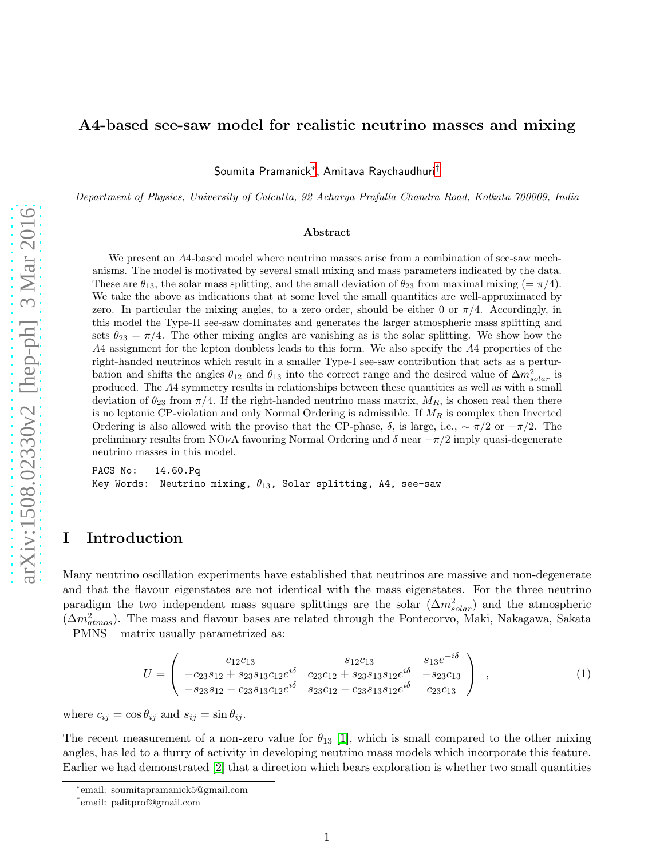## A4-based see-saw model for realistic neutrino masses and mixing

Soumita Pramanick[∗](#page-0-0) , Amitava Raychaudhuri[†](#page-0-1)

*Department of Physics, University of Calcutta, 92 Acharya Prafulla Chandra Road, Kolkata 700009, India*

#### Abstract

We present an A4-based model where neutrino masses arise from a combination of see-saw mechanisms. The model is motivated by several small mixing and mass parameters indicated by the data. These are  $\theta_{13}$ , the solar mass splitting, and the small deviation of  $\theta_{23}$  from maximal mixing  $(=\pi/4)$ . We take the above as indications that at some level the small quantities are well-approximated by zero. In particular the mixing angles, to a zero order, should be either 0 or  $\pi/4$ . Accordingly, in this model the Type-II see-saw dominates and generates the larger atmospheric mass splitting and sets  $\theta_{23} = \pi/4$ . The other mixing angles are vanishing as is the solar splitting. We show how the A4 assignment for the lepton doublets leads to this form. We also specify the A4 properties of the right-handed neutrinos which result in a smaller Type-I see-saw contribution that acts as a perturbation and shifts the angles  $\theta_{12}$  and  $\theta_{13}$  into the correct range and the desired value of  $\Delta m_{solar}^2$  is produced. The A4 symmetry results in relationships between these quantities as well as with a small deviation of  $\theta_{23}$  from  $\pi/4$ . If the right-handed neutrino mass matrix,  $M_R$ , is chosen real then there is no leptonic CP-violation and only Normal Ordering is admissible. If  $M_R$  is complex then Inverted Ordering is also allowed with the proviso that the CP-phase,  $\delta$ , is large, i.e.,  $\sim \pi/2$  or  $-\pi/2$ . The preliminary results from NOνA favouring Normal Ordering and  $\delta$  near  $-\pi/2$  imply quasi-degenerate neutrino masses in this model.

PACS No: 14.60.Pq Key Words: Neutrino mixing,  $\theta_{13}$ , Solar splitting, A4, see-saw

# I Introduction

Many neutrino oscillation experiments have established that neutrinos are massive and non-degenerate and that the flavour eigenstates are not identical with the mass eigenstates. For the three neutrino paradigm the two independent mass square splittings are the solar  $(\Delta m_{solar}^2)$  and the atmospheric  $(\Delta m_{atmos}^2)$ . The mass and flavour bases are related through the Pontecorvo, Maki, Nakagawa, Sakata – PMNS – matrix usually parametrized as:

$$
U = \begin{pmatrix} c_{12}c_{13} & s_{12}c_{13} & s_{13}e^{-i\delta} \\ -c_{23}s_{12} + s_{23}s_{13}c_{12}e^{i\delta} & c_{23}c_{12} + s_{23}s_{13}s_{12}e^{i\delta} & -s_{23}c_{13} \\ -s_{23}s_{12} - c_{23}s_{13}c_{12}e^{i\delta} & s_{23}c_{12} - c_{23}s_{13}s_{12}e^{i\delta} & c_{23}c_{13} \end{pmatrix} , \qquad (1)
$$

where  $c_{ij} = \cos \theta_{ij}$  and  $s_{ij} = \sin \theta_{ij}$ .

The recent measurement of a non-zero value for  $\theta_{13}$  [\[1\]](#page-20-0), which is small compared to the other mixing angles, has led to a flurry of activity in developing neutrino mass models which incorporate this feature. Earlier we had demonstrated [\[2\]](#page-20-1) that a direction which bears exploration is whether two small quantities

<sup>∗</sup> email: soumitapramanick5@gmail.com

<span id="page-0-1"></span><span id="page-0-0"></span><sup>†</sup> email: palitprof@gmail.com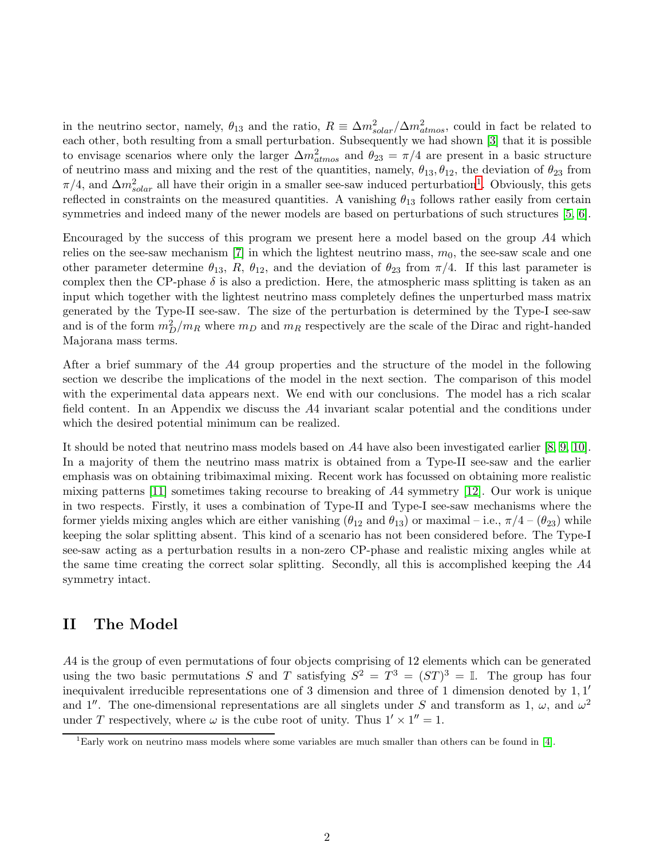in the neutrino sector, namely,  $\theta_{13}$  and the ratio,  $R \equiv \Delta m_{solar}^2 / \Delta m_{atmos}^2$ , could in fact be related to each other, both resulting from a small perturbation. Subsequently we had shown [\[3\]](#page-20-2) that it is possible to envisage scenarios where only the larger  $\Delta m^2_{atmos}$  and  $\theta_{23} = \pi/4$  are present in a basic structure of neutrino mass and mixing and the rest of the quantities, namely,  $\theta_{13}, \theta_{12}$ , the deviation of  $\theta_{23}$  from  $\pi/4$ , and  $\Delta m_{solar}^2$  all have their origin in a smaller see-saw induced perturbation<sup>[1](#page-1-0)</sup>. Obviously, this gets reflected in constraints on the measured quantities. A vanishing  $\theta_{13}$  follows rather easily from certain symmetries and indeed many of the newer models are based on perturbations of such structures [\[5,](#page-20-3) [6\]](#page-21-0).

Encouraged by the success of this program we present here a model based on the group A4 which relies on the see-saw mechanism  $[7]$  in which the lightest neutrino mass,  $m_0$ , the see-saw scale and one other parameter determine  $\theta_{13}$ , R,  $\theta_{12}$ , and the deviation of  $\theta_{23}$  from  $\pi/4$ . If this last parameter is complex then the CP-phase  $\delta$  is also a prediction. Here, the atmospheric mass splitting is taken as an input which together with the lightest neutrino mass completely defines the unperturbed mass matrix generated by the Type-II see-saw. The size of the perturbation is determined by the Type-I see-saw and is of the form  $m_D^2/m_R$  where  $m_D$  and  $m_R$  respectively are the scale of the Dirac and right-handed Majorana mass terms.

After a brief summary of the A4 group properties and the structure of the model in the following section we describe the implications of the model in the next section. The comparison of this model with the experimental data appears next. We end with our conclusions. The model has a rich scalar field content. In an Appendix we discuss the A4 invariant scalar potential and the conditions under which the desired potential minimum can be realized.

It should be noted that neutrino mass models based on A4 have also been investigated earlier [\[8,](#page-21-2) [9,](#page-21-3) [10\]](#page-21-4). In a majority of them the neutrino mass matrix is obtained from a Type-II see-saw and the earlier emphasis was on obtaining tribimaximal mixing. Recent work has focussed on obtaining more realistic mixing patterns [\[11\]](#page-21-5) sometimes taking recourse to breaking of A4 symmetry [\[12\]](#page-21-6). Our work is unique in two respects. Firstly, it uses a combination of Type-II and Type-I see-saw mechanisms where the former yields mixing angles which are either vanishing ( $\theta_{12}$  and  $\theta_{13}$ ) or maximal – i.e.,  $\pi/4 - (\theta_{23})$  while keeping the solar splitting absent. This kind of a scenario has not been considered before. The Type-I see-saw acting as a perturbation results in a non-zero CP-phase and realistic mixing angles while at the same time creating the correct solar splitting. Secondly, all this is accomplished keeping the A4 symmetry intact.

# II The Model

A4 is the group of even permutations of four objects comprising of 12 elements which can be generated using the two basic permutations S and T satisfying  $S^2 = T^3 = (ST)^3 = \mathbb{I}$ . The group has four inequivalent irreducible representations one of 3 dimension and three of 1 dimension denoted by 1, 1 ′ and 1''. The one-dimensional representations are all singlets under S and transform as 1,  $\omega$ , and  $\omega^2$ under T respectively, where  $\omega$  is the cube root of unity. Thus  $1' \times 1'' = 1$ .

<span id="page-1-0"></span> $1<sup>1</sup>$ Early work on neutrino mass models where some variables are much smaller than others can be found in [\[4\]](#page-20-4).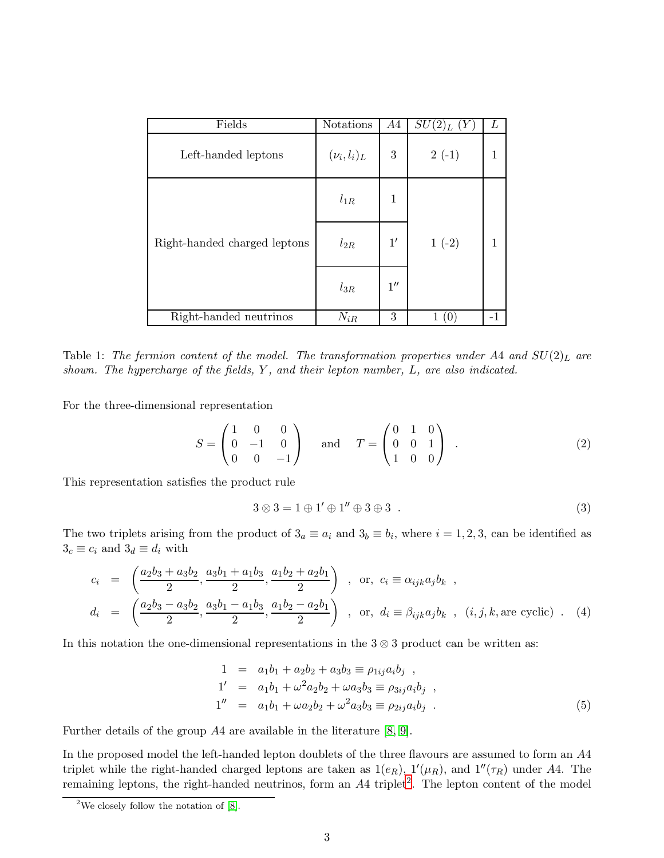| Fields                       | Notations        | A4                 | $SU(2)_L$<br>(Y | L |
|------------------------------|------------------|--------------------|-----------------|---|
| Left-handed leptons          | $(\nu_i, l_i)_L$ | 3                  | $2(-1)$         |   |
| Right-handed charged leptons | $l_{1R}$         | 1                  |                 |   |
|                              | $l_{2R}$         | $1^{\prime}$       | $1(-2)$         |   |
|                              | $l_{3R}$         | $1^{\prime\prime}$ |                 |   |
| Right-handed neutrinos       | $N_{iR}$         | 3                  |                 |   |

<span id="page-2-1"></span>Table 1: The fermion content of the model. The transformation properties under A4 and  $SU(2)_L$  are *shown. The hypercharge of the fields,* Y *, and their lepton number,* L*, are also indicated.*

For the three-dimensional representation

$$
S = \begin{pmatrix} 1 & 0 & 0 \\ 0 & -1 & 0 \\ 0 & 0 & -1 \end{pmatrix} \quad \text{and} \quad T = \begin{pmatrix} 0 & 1 & 0 \\ 0 & 0 & 1 \\ 1 & 0 & 0 \end{pmatrix} . \tag{2}
$$

This representation satisfies the product rule

<span id="page-2-2"></span>
$$
3 \otimes 3 = 1 \oplus 1' \oplus 1'' \oplus 3 \oplus 3 . \tag{3}
$$

The two triplets arising from the product of  $3_a \equiv a_i$  and  $3_b \equiv b_i$ , where  $i = 1, 2, 3$ , can be identified as  $3_c \equiv c_i$  and  $3_d \equiv d_i$  with

<span id="page-2-3"></span>
$$
c_i = \left(\frac{a_2b_3 + a_3b_2}{2}, \frac{a_3b_1 + a_1b_3}{2}, \frac{a_1b_2 + a_2b_1}{2}\right) , or, c_i \equiv \alpha_{ijk}a_jb_k ,
$$
  

$$
d_i = \left(\frac{a_2b_3 - a_3b_2}{2}, \frac{a_3b_1 - a_1b_3}{2}, \frac{a_1b_2 - a_2b_1}{2}\right) , or, d_i \equiv \beta_{ijk}a_jb_k , (i, j, k, are cyclic) . (4)
$$

In this notation the one-dimensional representations in the  $3 \otimes 3$  product can be written as:

<span id="page-2-4"></span>
$$
1 = a_1b_1 + a_2b_2 + a_3b_3 \equiv \rho_{1ij}a_ib_j ,\n1' = a_1b_1 + \omega^2 a_2b_2 + \omega a_3b_3 \equiv \rho_{3ij}a_ib_j ,\n1'' = a_1b_1 + \omega a_2b_2 + \omega^2 a_3b_3 \equiv \rho_{2ij}a_ib_j .
$$
\n(5)

Further details of the group A4 are available in the literature [\[8,](#page-21-2) [9\]](#page-21-3).

In the proposed model the left-handed lepton doublets of the three flavours are assumed to form an A4 triplet while the right-handed charged leptons are taken as  $1(e_R)$ ,  $1'(\mu_R)$ , and  $1''(\tau_R)$  under A4. The remaining leptons, the right-handed neutrinos, form an A4 triplet<sup>[2](#page-2-0)</sup>. The lepton content of the model

<span id="page-2-0"></span><sup>&</sup>lt;sup>2</sup>We closely follow the notation of  $[8]$ .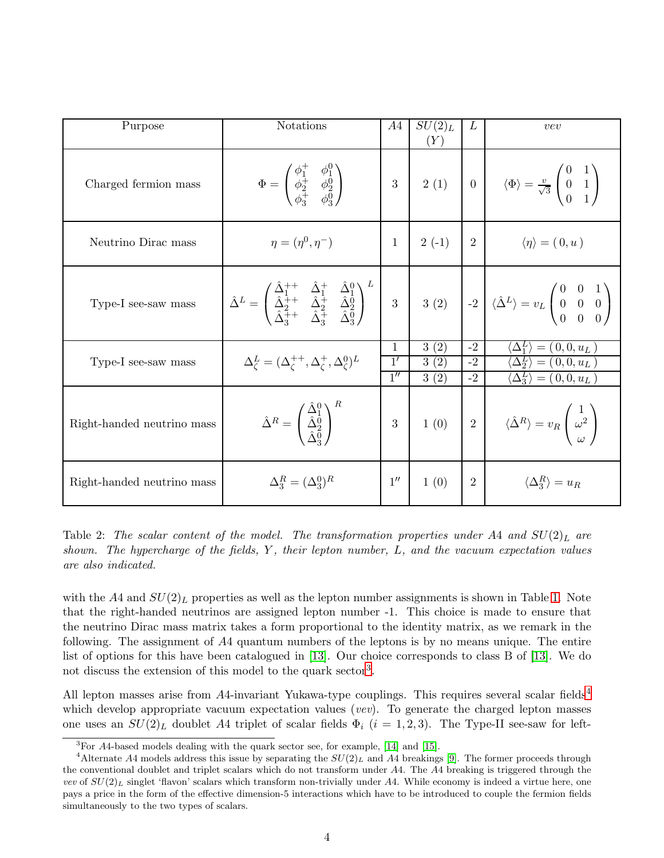| Purpose                    | Notations                                                                                                                                                                                                                                                                                                                                                                                                                                            | A4                          | $SU(2)_L$<br>(Y)     | L                    | vev                                                                                                                                            |
|----------------------------|------------------------------------------------------------------------------------------------------------------------------------------------------------------------------------------------------------------------------------------------------------------------------------------------------------------------------------------------------------------------------------------------------------------------------------------------------|-----------------------------|----------------------|----------------------|------------------------------------------------------------------------------------------------------------------------------------------------|
| Charged fermion mass       | $\Phi = \begin{pmatrix} \phi_1^+ & \phi_1^0 \\ \phi_2^+ & \phi_2^0 \\ \phi_2^+ & \phi_2^0 \end{pmatrix}$                                                                                                                                                                                                                                                                                                                                             | $\boldsymbol{3}$            |                      |                      | 2 (1) $\begin{pmatrix} 0 \\ 0 \end{pmatrix}$ $\langle \Phi \rangle = \frac{v}{\sqrt{3}} \begin{pmatrix} 0 & 1 \\ 0 & 1 \\ 0 & 1 \end{pmatrix}$ |
| Neutrino Dirac mass        | $\eta = (\eta^0, \eta^-)$                                                                                                                                                                                                                                                                                                                                                                                                                            | 1                           | $2(-1)$              | $\overline{2}$       | $\langle \eta \rangle = (0, u)$                                                                                                                |
| Type-I see-saw mass        | $\hat{\Delta}^L = \begin{pmatrix} \Delta_1^{\text{TT}} & \Delta_1^{\text{T}} & \Delta_2^{\text{V}} \\ \hat{\Delta}_2^{\text{++}} & \hat{\Delta}_2^{\text{+}} & \hat{\Delta}_2^0 \\ \hat{\Delta}_3^{\text{++}} & \hat{\Delta}_3^{\text{+}} & \hat{\Delta}_3^0 \end{pmatrix}^{\text{T}}$ 3 (2) $\begin{bmatrix} 3 & 0 \\ 0 & 0 \end{bmatrix}$ $\langle \hat{\Delta}^L \rangle = v_L \begin{pmatrix} 0 & 0 & 1 \\ 0 & 0 & 0 \\ 0 & 0 & 0 \end{pmatrix}$ |                             |                      |                      |                                                                                                                                                |
| Type-I see-saw mass        | $\Delta_{\zeta}^{L}=(\Delta_{\zeta}^{++},\Delta_{\zeta}^{+},\Delta_{\zeta}^{0})^{L}$                                                                                                                                                                                                                                                                                                                                                                 | 1<br>1'<br>$\overline{1''}$ | 3(2)<br>3(2)<br>3(2) | $-2$<br>$-2$<br>$-2$ | $=(0,0,u_L)$<br>$= (0,0,u_L)$<br>$\Delta_2^L$<br>$\langle \Delta_3^L \rangle = (0,0,u_L)$                                                      |
| Right-handed neutrino mass | $\hat{\Delta}^R = \begin{pmatrix} \Delta_1^0 \\ \hat{\Delta}_2^0 \\ \hat{\Delta}_3^0 \end{pmatrix}^{\text{R}}$                                                                                                                                                                                                                                                                                                                                       | $\sqrt{3}$                  | 1(0)                 |                      | $\begin{pmatrix} 2 \end{pmatrix}$ $\langle \hat{\Delta}^R \rangle = v_R \begin{pmatrix} 1 \ \omega^2 \ \omega \end{pmatrix}$                   |
| Right-handed neutrino mass | $\Delta_3^R = (\Delta_3^0)^R$                                                                                                                                                                                                                                                                                                                                                                                                                        | $1^{\prime\prime}$          | 1(0)                 | $\overline{2}$       | $\langle \Delta_3^R \rangle = u_R$                                                                                                             |

<span id="page-3-2"></span>Table 2: The scalar content of the model. The transformation properties under A4 and  $SU(2)_L$  are *shown. The hypercharge of the fields,* Y *, their lepton number,* L*, and the vacuum expectation values are also indicated.*

with the A4 and  $SU(2)_L$  properties as well as the lepton number assignments is shown in Table [1.](#page-2-1) Note that the right-handed neutrinos are assigned lepton number -1. This choice is made to ensure that the neutrino Dirac mass matrix takes a form proportional to the identity matrix, as we remark in the following. The assignment of A4 quantum numbers of the leptons is by no means unique. The entire list of options for this have been catalogued in [\[13\]](#page-21-7). Our choice corresponds to class B of [\[13\]](#page-21-7). We do not discuss the extension of this model to the quark sector<sup>[3](#page-3-0)</sup>.

All lepton masses arise from A[4](#page-3-1)-invariant Yukawa-type couplings. This requires several scalar fields<sup>4</sup> which develop appropriate vacuum expectation values (*vev*). To generate the charged lepton masses one uses an  $SU(2)_L$  doublet A4 triplet of scalar fields  $\Phi_i$  (i = 1, 2, 3). The Type-II see-saw for left-

<span id="page-3-0"></span><sup>&</sup>lt;sup>3</sup>For A4-based models dealing with the quark sector see, for example, [\[14\]](#page-21-8) and [\[15\]](#page-21-9).

<span id="page-3-1"></span><sup>&</sup>lt;sup>4</sup>Alternate A4 models address this issue by separating the  $SU(2)_L$  and A4 breakings [\[9\]](#page-21-3). The former proceeds through the conventional doublet and triplet scalars which do not transform under A4. The A4 breaking is triggered through the vev of  $SU(2)_L$  singlet 'flavon' scalars which transform non-trivially under A4. While economy is indeed a virtue here, one pays a price in the form of the effective dimension-5 interactions which have to be introduced to couple the fermion fields simultaneously to the two types of scalars.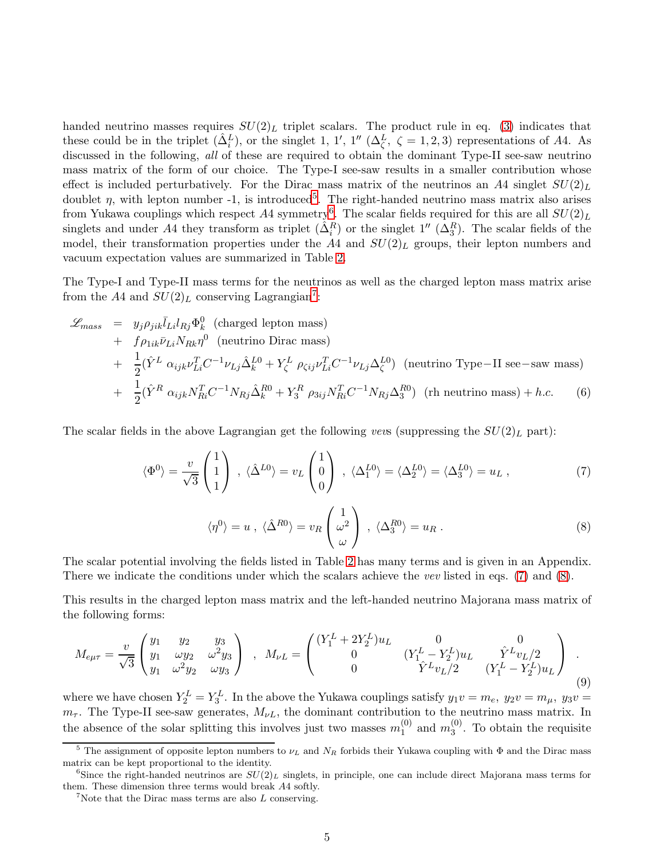handed neutrino masses requires  $SU(2)_L$  triplet scalars. The product rule in eq. [\(3\)](#page-2-2) indicates that these could be in the triplet  $(\hat{\Delta}_i^L)$ , or the singlet 1, 1', 1''  $({\Delta}_\zeta^L, \zeta = 1, 2, 3)$  representations of A4. As discussed in the following, *all* of these are required to obtain the dominant Type-II see-saw neutrino mass matrix of the form of our choice. The Type-I see-saw results in a smaller contribution whose effect is included perturbatively. For the Dirac mass matrix of the neutrinos an A4 singlet  $SU(2)_L$ doublet  $\eta$ , with lepton number -1, is introduced<sup>[5](#page-4-0)</sup>. The right-handed neutrino mass matrix also arises from Yukawa couplings which respect  $A4$  symmetry<sup>[6](#page-4-1)</sup>. The scalar fields required for this are all  $SU(2)_L$ singlets and under A4 they transform as triplet  $(\hat{\Delta}_i^R)$  or the singlet  $1''$   $(\Delta_3^R)$ . The scalar fields of the model, their transformation properties under the A4 and  $SU(2)_L$  groups, their lepton numbers and vacuum expectation values are summarized in Table [2.](#page-3-2)

The Type-I and Type-II mass terms for the neutrinos as well as the charged lepton mass matrix arise from the A4 and  $SU(2)_L$  conserving Lagrangian<sup>[7](#page-4-2)</sup>:

<span id="page-4-6"></span>
$$
\mathcal{L}_{mass} = y_j \rho_{jik} \bar{l}_{Li} l_{Rj} \Phi_k^0 \text{ (charged lepton mass)}
$$
  
+  $f \rho_{1ik} \bar{\nu}_{Li} N_{Rk} \eta^0 \text{ (neutrino Dirac mass)}$   
+  $\frac{1}{2} (\hat{Y}^L \alpha_{ijk} \nu_{Li}^T C^{-1} \nu_{Lj} \hat{\Delta}_k^{L0} + Y_{\zeta}^L \rho_{\zeta ij} \nu_{Li}^T C^{-1} \nu_{Lj} \Delta_{\zeta}^{L0}) \text{ (neutrino Type-II see-saw mass)}$   
+  $\frac{1}{2} (\hat{Y}^R \alpha_{ijk} N_{Ri}^T C^{-1} N_{Rj} \hat{\Delta}_k^{R0} + Y_3^R \rho_{3ij} N_{Ri}^T C^{-1} N_{Rj} \Delta_3^{R0}) \text{ (rh neutrino mass)} + h.c.$  (6)

The scalar fields in the above Lagrangian get the following *vevs* (suppressing the  $SU(2)_L$  part):

<span id="page-4-3"></span>
$$
\langle \Phi^0 \rangle = \frac{v}{\sqrt{3}} \begin{pmatrix} 1 \\ 1 \\ 1 \end{pmatrix} , \quad \langle \hat{\Delta}^{L0} \rangle = v_L \begin{pmatrix} 1 \\ 0 \\ 0 \end{pmatrix} , \quad \langle \Delta_1^{L0} \rangle = \langle \Delta_2^{L0} \rangle = \langle \Delta_3^{L0} \rangle = u_L , \tag{7}
$$

<span id="page-4-4"></span>
$$
\langle \eta^0 \rangle = u \ , \ \langle \hat{\Delta}^{R0} \rangle = v_R \begin{pmatrix} 1 \\ \omega^2 \\ \omega \end{pmatrix} \ , \ \langle \Delta_3^{R0} \rangle = u_R \ . \tag{8}
$$

The scalar potential involving the fields listed in Table [2](#page-3-2) has many terms and is given in an Appendix. There we indicate the conditions under which the scalars achieve the *vev* listed in eqs. [\(7\)](#page-4-3) and [\(8\)](#page-4-4).

This results in the charged lepton mass matrix and the left-handed neutrino Majorana mass matrix of the following forms:

<span id="page-4-5"></span>
$$
M_{e\mu\tau} = \frac{v}{\sqrt{3}} \begin{pmatrix} y_1 & y_2 & y_3 \\ y_1 & \omega y_2 & \omega^2 y_3 \\ y_1 & \omega^2 y_2 & \omega y_3 \end{pmatrix} , M_{\nu L} = \begin{pmatrix} (Y_1^L + 2Y_2^L)u_L & 0 & 0 \\ 0 & (Y_1^L - Y_2^L)u_L & \hat{Y}^L v_L/2 \\ 0 & \hat{Y}^L v_L/2 & (Y_1^L - Y_2^L)u_L \end{pmatrix} .
$$
\n(9)

where we have chosen  $Y_2^L = Y_3^L$ . In the above the Yukawa couplings satisfy  $y_1v = m_e$ ,  $y_2v = m_\mu$ ,  $y_3v =$  $m_{\tau}$ . The Type-II see-saw generates,  $M_{\nu L}$ , the dominant contribution to the neutrino mass matrix. In the absence of the solar splitting this involves just two masses  $m_1^{(0)}$  $_1^{(0)}$  and  $m_3^{(0)}$  $_3^{\circ}$ . To obtain the requisite

<span id="page-4-0"></span><sup>&</sup>lt;sup>5</sup> The assignment of opposite lepton numbers to  $\nu_L$  and  $N_R$  forbids their Yukawa coupling with  $\Phi$  and the Dirac mass matrix can be kept proportional to the identity.

<sup>&</sup>lt;sup>6</sup>Since the right-handed neutrinos are  $SU(2)_L$  singlets, in principle, one can include direct Majorana mass terms for them. These dimension three terms would break A4 softly.

<span id="page-4-2"></span><span id="page-4-1"></span><sup>&</sup>lt;sup>7</sup>Note that the Dirac mass terms are also  $L$  conserving.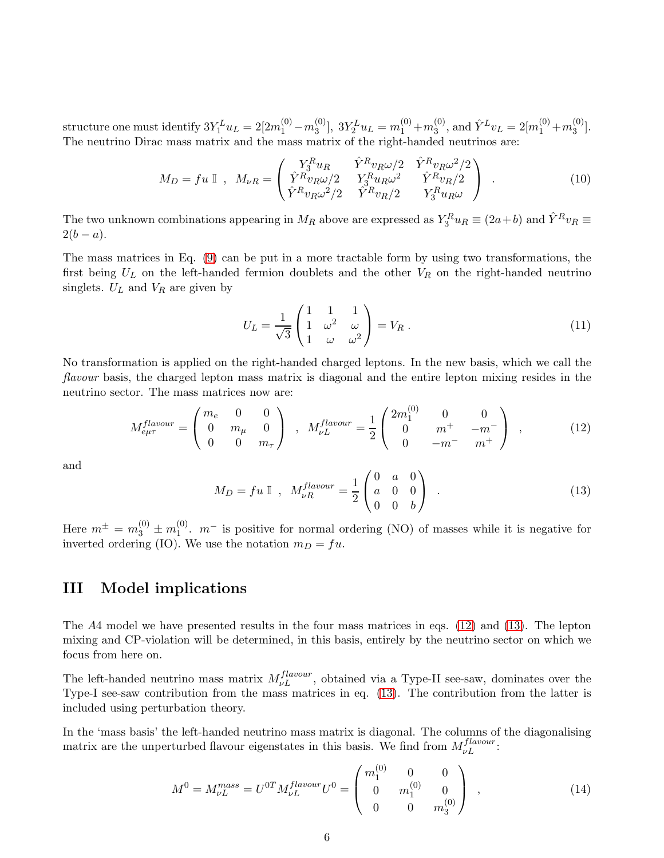structure one must identify  $3Y_1^L u_L = 2[2m_1^{(0)} - m_3^{(0)}]$  $3Y_2^L u_L = m_1^{(0)} + m_3^{(0)}$  $_3^{(0)}$ , and  $\hat{Y}^L v_L = 2[m_1^{(0)} + m_3^{(0)}]$  $\binom{(0)}{3}$ . The neutrino Dirac mass matrix and the mass matrix of the right-handed neutrinos are:

<span id="page-5-3"></span>
$$
M_D = fu \mathbb{I} , M_{\nu R} = \begin{pmatrix} Y_3^R u_R & \hat{Y}^R v_R \omega/2 & \hat{Y}^R v_R \omega^2/2 \\ \hat{Y}^R v_R \omega/2 & Y_3^R u_R \omega^2 & \hat{Y}^R v_R/2 \\ \hat{Y}^R v_R \omega^2/2 & \hat{Y}^R v_R/2 & Y_3^R u_R \omega \end{pmatrix} .
$$
 (10)

The two unknown combinations appearing in  $M_R$  above are expressed as  $Y_3^Ru_R \equiv (2a+b)$  and  $\hat{Y}^R v_R \equiv$  $2(b - a)$ .

The mass matrices in Eq. [\(9\)](#page-4-5) can be put in a more tractable form by using two transformations, the first being  $U_L$  on the left-handed fermion doublets and the other  $V_R$  on the right-handed neutrino singlets.  $U_L$  and  $V_R$  are given by

$$
U_L = \frac{1}{\sqrt{3}} \begin{pmatrix} 1 & 1 & 1 \\ 1 & \omega^2 & \omega \\ 1 & \omega & \omega^2 \end{pmatrix} = V_R . \tag{11}
$$

No transformation is applied on the right-handed charged leptons. In the new basis, which we call the *flavour* basis, the charged lepton mass matrix is diagonal and the entire lepton mixing resides in the neutrino sector. The mass matrices now are:

<span id="page-5-0"></span>
$$
M_{e\mu\tau}^{flavour} = \begin{pmatrix} m_e & 0 & 0 \\ 0 & m_\mu & 0 \\ 0 & 0 & m_\tau \end{pmatrix} , M_{\nu L}^{flavour} = \frac{1}{2} \begin{pmatrix} 2m_1^{(0)} & 0 & 0 \\ 0 & m^+ & -m^- \\ 0 & -m^- & m^+ \end{pmatrix} , \qquad (12)
$$

and

<span id="page-5-1"></span>
$$
M_D = fu \t{1}, \t M_{\nu R}^{flavour} = \frac{1}{2} \begin{pmatrix} 0 & a & 0 \\ a & 0 & 0 \\ 0 & 0 & b \end{pmatrix} . \t (13)
$$

Here  $m^{\pm} = m_3^{(0)} \pm m_1^{(0)}$  $1^{\text{(0)}}$ .  $m^-$  is positive for normal ordering (NO) of masses while it is negative for inverted ordering (IO). We use the notation  $m_D = fu$ .

# III Model implications

The A4 model we have presented results in the four mass matrices in eqs. [\(12\)](#page-5-0) and [\(13\)](#page-5-1). The lepton mixing and CP-violation will be determined, in this basis, entirely by the neutrino sector on which we focus from here on.

The left-handed neutrino mass matrix  $M_{\nu}^{flavour}$ , obtained via a Type-II see-saw, dominates over the Type-I see-saw contribution from the mass matrices in eq. [\(13\)](#page-5-1). The contribution from the latter is included using perturbation theory.

In the 'mass basis' the left-handed neutrino mass matrix is diagonal. The columns of the diagonalising matrix are the unperturbed flavour eigenstates in this basis. We find from  $M_{\nu L}^{flavour}$ :

<span id="page-5-2"></span>
$$
M^{0} = M_{\nu L}^{mass} = U^{0T} M_{\nu L}^{flavour} U^{0} = \begin{pmatrix} m_1^{(0)} & 0 & 0 \\ 0 & m_1^{(0)} & 0 \\ 0 & 0 & m_3^{(0)} \end{pmatrix} , \qquad (14)
$$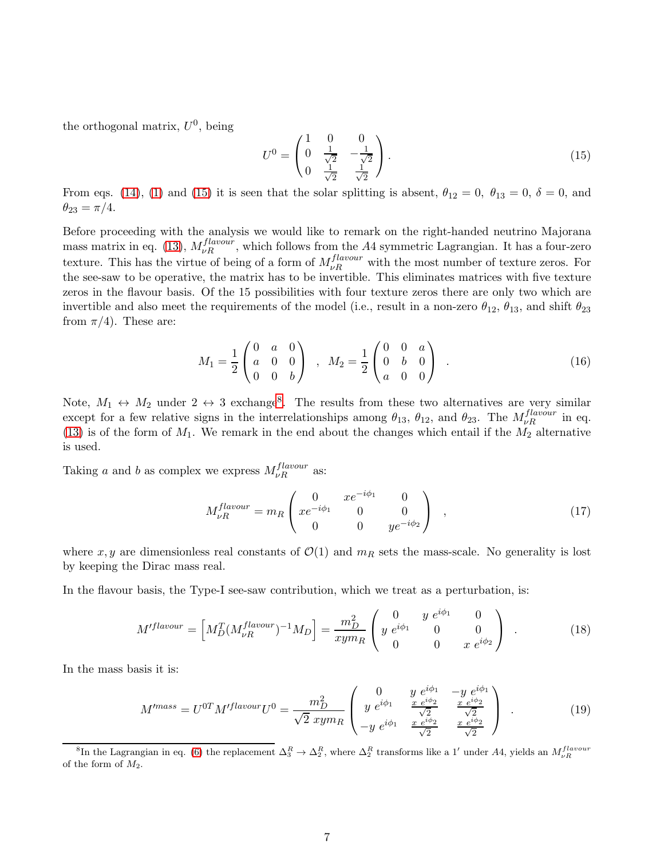the orthogonal matrix,  $U^0$ , being

<span id="page-6-0"></span>
$$
U^{0} = \begin{pmatrix} 1 & 0 & 0 \\ 0 & \frac{1}{\sqrt{2}} & -\frac{1}{\sqrt{2}} \\ 0 & \frac{1}{\sqrt{2}} & \frac{1}{\sqrt{2}} \end{pmatrix}.
$$
 (15)

From eqs. [\(14\)](#page-5-2), [\(1\)](#page-14-0) and [\(15\)](#page-6-0) it is seen that the solar splitting is absent,  $\theta_{12} = 0$ ,  $\theta_{13} = 0$ ,  $\delta = 0$ , and  $\theta_{23} = \pi/4.$ 

Before proceeding with the analysis we would like to remark on the right-handed neutrino Majorana mass matrix in eq. [\(13\)](#page-5-1),  $M_{\nu R}^{flavour}$ , which follows from the A4 symmetric Lagrangian. It has a four-zero texture. This has the virtue of being of a form of  $M_{\nu}^{flavour}$  with the most number of texture zeros. For the see-saw to be operative, the matrix has to be invertible. This eliminates matrices with five texture zeros in the flavour basis. Of the 15 possibilities with four texture zeros there are only two which are invertible and also meet the requirements of the model (i.e., result in a non-zero  $\theta_{12}$ ,  $\theta_{13}$ , and shift  $\theta_{23}$ from  $\pi/4$ ). These are:

<span id="page-6-4"></span>
$$
M_1 = \frac{1}{2} \begin{pmatrix} 0 & a & 0 \\ a & 0 & 0 \\ 0 & 0 & b \end{pmatrix} , M_2 = \frac{1}{2} \begin{pmatrix} 0 & 0 & a \\ 0 & b & 0 \\ a & 0 & 0 \end{pmatrix} .
$$
 (16)

Note,  $M_1 \leftrightarrow M_2$  under  $2 \leftrightarrow 3$  exchange<sup>[8](#page-6-1)</sup>. The results from these two alternatives are very similar except for a few relative signs in the interrelationships among  $\theta_{13}$ ,  $\theta_{12}$ , and  $\theta_{23}$ . The  $M_{\nu R}^{flavour}$  in eq. [\(13\)](#page-5-1) is of the form of  $M_1$ . We remark in the end about the changes which entail if the  $M_2$  alternative is used.

Taking a and b as complex we express  $M_{\nu R}^{flavour}$  as:

<span id="page-6-2"></span>
$$
M_{\nu R}^{flavour} = m_R \begin{pmatrix} 0 & x e^{-i\phi_1} & 0 \\ x e^{-i\phi_1} & 0 & 0 \\ 0 & 0 & y e^{-i\phi_2} \end{pmatrix} , \qquad (17)
$$

where x, y are dimensionless real constants of  $\mathcal{O}(1)$  and  $m_R$  sets the mass-scale. No generality is lost by keeping the Dirac mass real.

In the flavour basis, the Type-I see-saw contribution, which we treat as a perturbation, is:

$$
M'^{flavour} = \left[ M_D^T (M_{\nu R}^{flavour})^{-1} M_D \right] = \frac{m_D^2}{xym_R} \begin{pmatrix} 0 & y e^{i\phi_1} & 0 \\ y e^{i\phi_1} & 0 & 0 \\ 0 & 0 & x e^{i\phi_2} \end{pmatrix} . \tag{18}
$$

In the mass basis it is:

<span id="page-6-3"></span>
$$
M'^{mass} = U^{0T} M'^{flavour} U^0 = \frac{m_D^2}{\sqrt{2} \ xym_R} \begin{pmatrix} 0 & y e^{i\phi_1} & -y e^{i\phi_1} \\ y e^{i\phi_1} & \frac{x e^{i\phi_2}}{\sqrt{2}} & \frac{x e^{i\phi_2}}{\sqrt{2}} \\ -y e^{i\phi_1} & \frac{x e^{i\phi_2}}{\sqrt{2}} & \frac{x e^{i\phi_2}}{\sqrt{2}} \end{pmatrix} . \tag{19}
$$

<span id="page-6-1"></span><sup>&</sup>lt;sup>8</sup>In the Lagrangian in eq. [\(6\)](#page-4-6) the replacement  $\Delta_3^R \to \Delta_2^R$ , where  $\Delta_2^R$  transforms like a 1' under A4, yields an  $M_{\nu R}^{flavour}$ of the form of  $M_2$ .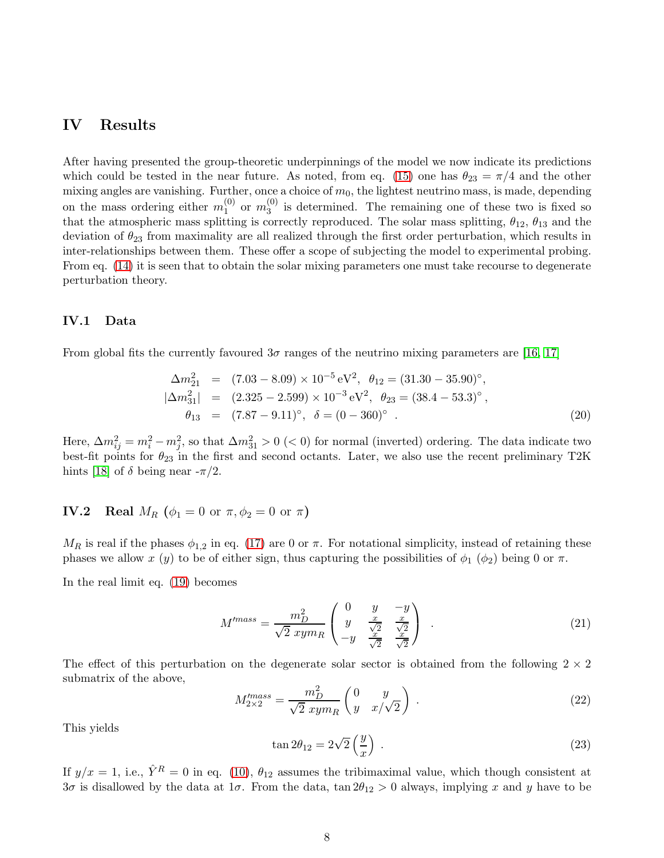# IV Results

After having presented the group-theoretic underpinnings of the model we now indicate its predictions which could be tested in the near future. As noted, from eq. [\(15\)](#page-6-0) one has  $\theta_{23} = \pi/4$  and the other mixing angles are vanishing. Further, once a choice of  $m_0$ , the lightest neutrino mass, is made, depending on the mass ordering either  $m_1^{(0)}$  $_{1}^{(0)}$  or  $m_{3}^{(0)}$  $j_3^{(0)}$  is determined. The remaining one of these two is fixed so that the atmospheric mass splitting is correctly reproduced. The solar mass splitting,  $\theta_{12}$ ,  $\theta_{13}$  and the deviation of  $\theta_{23}$  from maximality are all realized through the first order perturbation, which results in inter-relationships between them. These offer a scope of subjecting the model to experimental probing. From eq. [\(14\)](#page-5-2) it is seen that to obtain the solar mixing parameters one must take recourse to degenerate perturbation theory.

## <span id="page-7-3"></span>IV.1 Data

From global fits the currently favoured  $3\sigma$  ranges of the neutrino mixing parameters are [\[16,](#page-22-0) [17\]](#page-22-1)

$$
\Delta m_{21}^2 = (7.03 - 8.09) \times 10^{-5} \text{ eV}^2, \ \theta_{12} = (31.30 - 35.90)^\circ,
$$
  
\n
$$
|\Delta m_{31}^2| = (2.325 - 2.599) \times 10^{-3} \text{ eV}^2, \ \theta_{23} = (38.4 - 53.3)^\circ,
$$
  
\n
$$
\theta_{13} = (7.87 - 9.11)^\circ, \ \delta = (0 - 360)^\circ.
$$
\n(20)

Here,  $\Delta m_{ij}^2 = m_i^2 - m_j^2$ , so that  $\Delta m_{31}^2 > 0 \ll 0$ ) for normal (inverted) ordering. The data indicate two best-fit points for  $\theta_{23}$  in the first and second octants. Later, we also use the recent preliminary T2K hints [\[18\]](#page-22-2) of  $\delta$  being near  $-\pi/2$ .

## IV.2 Real  $M_R$  ( $\phi_1 = 0$  or  $\pi$ ,  $\phi_2 = 0$  or  $\pi$ )

 $M_R$  is real if the phases  $\phi_{1,2}$  in eq. [\(17\)](#page-6-2) are 0 or  $\pi$ . For notational simplicity, instead of retaining these phases we allow x  $(y)$  to be of either sign, thus capturing the possibilities of  $\phi_1$  ( $\phi_2$ ) being 0 or  $\pi$ .

In the real limit eq. [\(19\)](#page-6-3) becomes

<span id="page-7-1"></span>
$$
M'^{mass} = \frac{m_D^2}{\sqrt{2} \ xym_R} \begin{pmatrix} 0 & y & -y \\ y & \frac{x}{\sqrt{2}} & \frac{x}{\sqrt{2}} \\ -y & \frac{x}{\sqrt{2}} & \frac{x}{\sqrt{2}} \end{pmatrix} . \tag{21}
$$

The effect of this perturbation on the degenerate solar sector is obtained from the following  $2 \times 2$ submatrix of the above,

<span id="page-7-0"></span>
$$
M_{2\times 2}^{\prime mass} = \frac{m_D^2}{\sqrt{2} \ xym_R} \begin{pmatrix} 0 & y \\ y & x/\sqrt{2} \end{pmatrix} . \tag{22}
$$

This yields

<span id="page-7-2"></span>
$$
\tan 2\theta_{12} = 2\sqrt{2}\left(\frac{y}{x}\right) \tag{23}
$$

If  $y/x = 1$ , i.e.,  $\hat{Y}^R = 0$  in eq. [\(10\)](#page-5-3),  $\theta_{12}$  assumes the tribimaximal value, which though consistent at  $3\sigma$  is disallowed by the data at  $1\sigma$ . From the data,  $\tan 2\theta_{12} > 0$  always, implying x and y have to be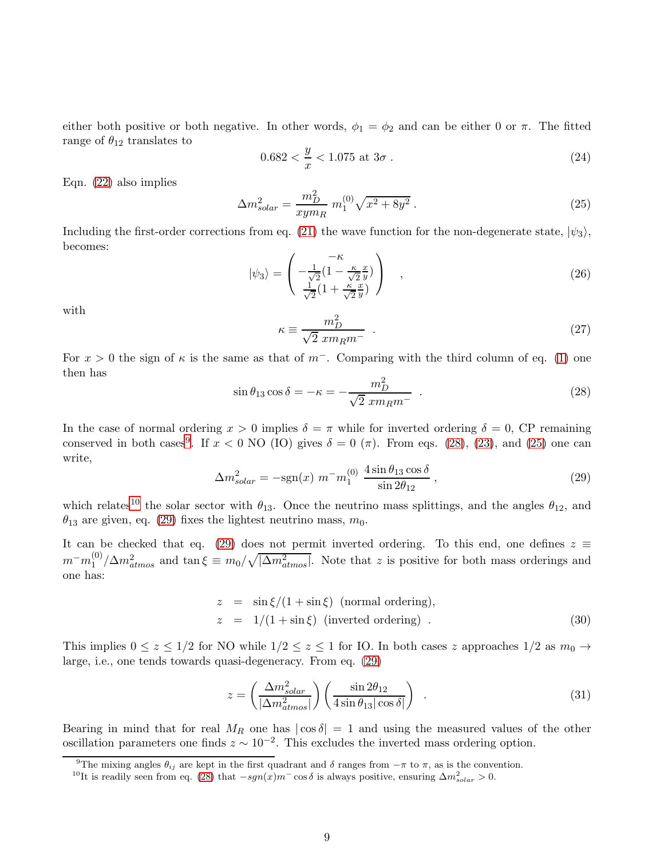either both positive or both negative. In other words,  $\phi_1 = \phi_2$  and can be either 0 or  $\pi$ . The fitted range of  $\theta_{12}$  translates to

<span id="page-8-7"></span>
$$
0.682 < \frac{y}{x} < 1.075 \text{ at } 3\sigma \tag{24}
$$

Eqn. [\(22\)](#page-7-0) also implies

<span id="page-8-2"></span>
$$
\Delta m_{solar}^2 = \frac{m_D^2}{xym_R} m_1^{(0)} \sqrt{x^2 + 8y^2} \,. \tag{25}
$$

Including the first-order corrections from eq. [\(21\)](#page-7-1) the wave function for the non-degenerate state,  $|\psi_3\rangle$ , becomes:

<span id="page-8-5"></span>
$$
|\psi_3\rangle = \begin{pmatrix} -\kappa & & \\ -\frac{1}{\sqrt{2}}(1 - \frac{\kappa}{\sqrt{2}}\frac{x}{y}) & \\ \frac{1}{\sqrt{2}}(1 + \frac{\kappa}{\sqrt{2}}\frac{x}{y}) & , \end{pmatrix} , \qquad (26)
$$

with

$$
\kappa \equiv \frac{m_D^2}{\sqrt{2} \; x m_R m^-} \; . \tag{27}
$$

For  $x > 0$  the sign of  $\kappa$  is the same as that of  $m^-$ . Comparing with the third column of eq. [\(1\)](#page-14-0) one then has

<span id="page-8-1"></span>
$$
\sin \theta_{13} \cos \delta = -\kappa = -\frac{m_D^2}{\sqrt{2} \ x m_R m^-} \tag{28}
$$

In the case of normal ordering  $x > 0$  implies  $\delta = \pi$  while for inverted ordering  $\delta = 0$ , CP remaining conserved in both cases<sup>[9](#page-8-0)</sup>. If  $x < 0$  NO (IO) gives  $\delta = 0$  ( $\pi$ ). From eqs. [\(28\)](#page-8-1), [\(23\)](#page-7-2), and [\(25\)](#page-8-2) one can write,

<span id="page-8-4"></span>
$$
\Delta m_{solar}^2 = -\text{sgn}(x) \ m^- m_1^{(0)} \ \frac{4 \sin \theta_{13} \cos \delta}{\sin 2\theta_{12}} \,, \tag{29}
$$

which relates<sup>[10](#page-8-3)</sup> the solar sector with  $\theta_{13}$ . Once the neutrino mass splittings, and the angles  $\theta_{12}$ , and  $\theta_{13}$  are given, eq. [\(29\)](#page-8-4) fixes the lightest neutrino mass,  $m_0$ .

It can be checked that eq. [\(29\)](#page-8-4) does not permit inverted ordering. To this end, one defines  $z \equiv$  $m^-m_1^{(0)}$  $\binom{10}{1}$  / $\Delta m_{atmos}^2$  and tan  $\xi \equiv m_0/\sqrt{|\Delta m_{atmos}^2|}$ . Note that z is positive for both mass orderings and one has:

$$
z = \sin \xi / (1 + \sin \xi) \text{ (normal ordering)},
$$
  
\n
$$
z = 1 / (1 + \sin \xi) \text{ (inverted ordering)}.
$$
\n(30)

This implies  $0 \le z \le 1/2$  for NO while  $1/2 \le z \le 1$  for IO. In both cases z approaches  $1/2$  as  $m_0 \to$ large, i.e., one tends towards quasi-degeneracy. From eq. [\(29\)](#page-8-4)

<span id="page-8-6"></span>
$$
z = \left(\frac{\Delta m_{solar}^2}{|\Delta m_{atmos}^2|}\right) \left(\frac{\sin 2\theta_{12}}{4 \sin \theta_{13} |\cos \delta|}\right) \tag{31}
$$

Bearing in mind that for real  $M_R$  one has  $|\cos \delta| = 1$  and using the measured values of the other oscillation parameters one finds  $z \sim 10^{-2}$ . This excludes the inverted mass ordering option.

<sup>&</sup>lt;sup>9</sup>The mixing angles  $\theta_{ij}$  are kept in the first quadrant and  $\delta$  ranges from  $-\pi$  to  $\pi$ , as is the convention.

<span id="page-8-3"></span><span id="page-8-0"></span><sup>&</sup>lt;sup>10</sup>It is readily seen from eq. [\(28\)](#page-8-1) that  $-sgn(x)m$ <sup>-</sup> cos  $\delta$  is always positive, ensuring  $\Delta m_{solar}^2 > 0$ .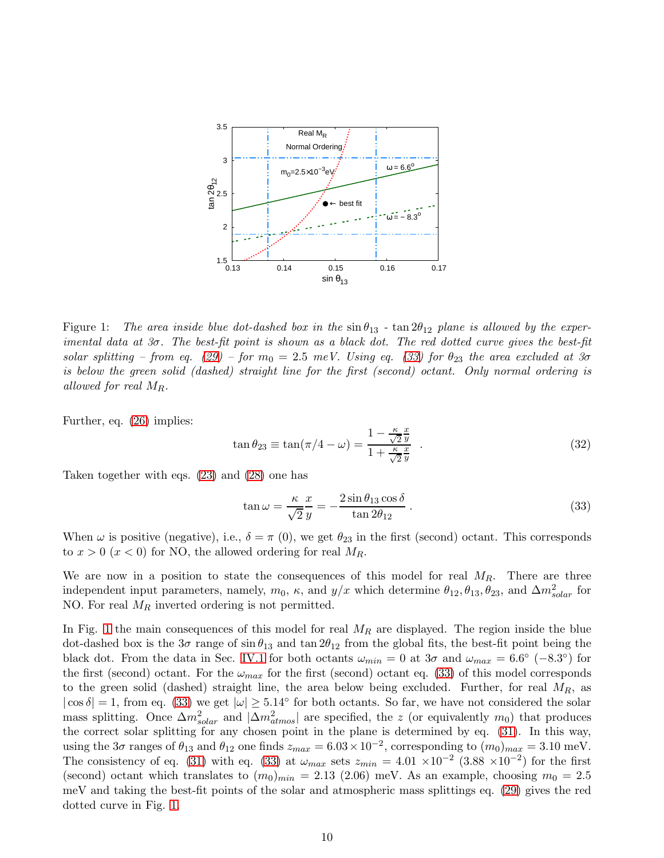

<span id="page-9-1"></span>Figure 1: The area inside blue dot-dashed box in the  $\sin \theta_{13}$  -  $\tan 2\theta_{12}$  plane is allowed by the exper*imental data at 3*σ*. The best-fit point is shown as a black dot. The red dotted curve gives the best-fit solar splitting – from eq.* [\(29\)](#page-8-4) – for  $m_0 = 2.5$  *meV.* Using eq. [\(33\)](#page-9-0) for  $\theta_{23}$  the area excluded at 3 $\sigma$ *is below the green solid (dashed) straight line for the first (second) octant. Only normal ordering is allowed for real* MR*.*

Further, eq. [\(26\)](#page-8-5) implies:

$$
\tan \theta_{23} \equiv \tan(\pi/4 - \omega) = \frac{1 - \frac{\kappa}{\sqrt{2}} \frac{x}{y}}{1 + \frac{\kappa}{\sqrt{2}} \frac{x}{y}} \quad . \tag{32}
$$

Taken together with eqs. [\(23\)](#page-7-2) and [\(28\)](#page-8-1) one has

<span id="page-9-0"></span>
$$
\tan \omega = \frac{\kappa}{\sqrt{2}} \frac{x}{y} = -\frac{2 \sin \theta_{13} \cos \delta}{\tan 2\theta_{12}}.
$$
\n(33)

When  $\omega$  is positive (negative), i.e.,  $\delta = \pi (0)$ , we get  $\theta_{23}$  in the first (second) octant. This corresponds to  $x > 0$   $(x < 0)$  for NO, the allowed ordering for real  $M_R$ .

We are now in a position to state the consequences of this model for real  $M_R$ . There are three independent input parameters, namely,  $m_0$ ,  $\kappa$ , and  $y/x$  which determine  $\theta_{12}, \theta_{13}, \theta_{23}$ , and  $\Delta m_{solar}^2$  for NO. For real  $M_R$  inverted ordering is not permitted.

In Fig. [1](#page-9-1) the main consequences of this model for real  $M_R$  are displayed. The region inside the blue dot-dashed box is the  $3\sigma$  range of  $\sin \theta_{13}$  and  $\tan 2\theta_{12}$  from the global fits, the best-fit point being the black dot. From the data in Sec. [IV.1](#page-7-3) for both octants  $\omega_{min} = 0$  at  $3\sigma$  and  $\omega_{max} = 6.6^{\circ}$  (-8.3°) for the first (second) octant. For the  $\omega_{max}$  for the first (second) octant eq. [\(33\)](#page-9-0) of this model corresponds to the green solid (dashed) straight line, the area below being excluded. Further, for real  $M_R$ , as  $|\cos \delta| = 1$ , from eq. [\(33\)](#page-9-0) we get  $|\omega| \ge 5.14^{\circ}$  for both octants. So far, we have not considered the solar mass splitting. Once  $\Delta m_{solar}^2$  and  $|\Delta m_{atmos}^2|$  are specified, the z (or equivalently  $m_0$ ) that produces the correct solar splitting for any chosen point in the plane is determined by eq. [\(31\)](#page-8-6). In this way, using the 3 $\sigma$  ranges of  $\theta_{13}$  and  $\theta_{12}$  one finds  $z_{max} = 6.03 \times 10^{-2}$ , corresponding to  $(m_0)_{max} = 3.10$  meV. The consistency of eq. [\(31\)](#page-8-6) with eq. [\(33\)](#page-9-0) at  $\omega_{max}$  sets  $z_{min} = 4.01 \times 10^{-2}$  (3.88 ×10<sup>-2</sup>) for the first (second) octant which translates to  $(m_0)_{min} = 2.13$  (2.06) meV. As an example, choosing  $m_0 = 2.5$ meV and taking the best-fit points of the solar and atmospheric mass splittings eq. [\(29\)](#page-8-4) gives the red dotted curve in Fig. [1.](#page-9-1)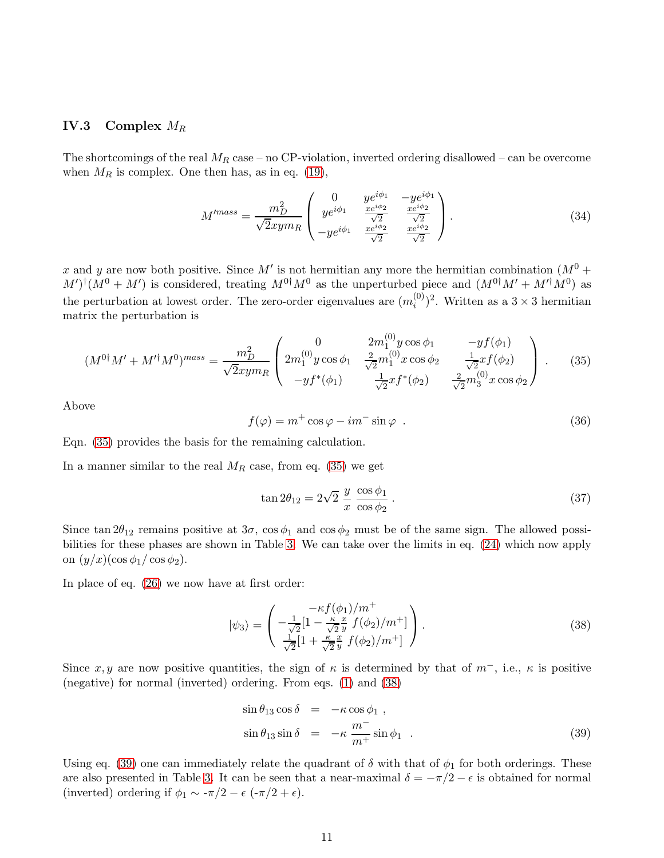### IV.3 Complex  $M_R$

The shortcomings of the real  $M_R$  case – no CP-violation, inverted ordering disallowed – can be overcome when  $M_R$  is complex. One then has, as in eq. [\(19\)](#page-6-3),

$$
M^{mass} = \frac{m_D^2}{\sqrt{2}xym_R} \begin{pmatrix} 0 & ye^{i\phi_1} & -ye^{i\phi_1} \\ ye^{i\phi_1} & \frac{xe^{i\phi_2}}{\sqrt{2}} & \frac{xe^{i\phi_2}}{\sqrt{2}} \\ -ye^{i\phi_1} & \frac{xe^{i\phi_2}}{\sqrt{2}} & \frac{xe^{i\phi_2}}{\sqrt{2}} \end{pmatrix} . \tag{34}
$$

x and y are now both positive. Since M' is not hermitian any more the hermitian combination  $(M^0 +$  $M'$ <sup>†</sup> $(M^0 + M')$  is considered, treating  $M^{0\dagger}M^0$  as the unperturbed piece and  $(M^{0\dagger}M' + M'^{\dagger}M^0)$  as the perturbation at lowest order. The zero-order eigenvalues are  $(m_i^{(0)})$  $i^{(0)}$ <sup>2</sup>. Written as a 3 × 3 hermitian matrix the perturbation is

<span id="page-10-0"></span>
$$
(M^{0\dagger}M' + M'^{\dagger}M^{0})^{mass} = \frac{m_D^2}{\sqrt{2}xym_R} \begin{pmatrix} 0 & 2m_1^{(0)}y\cos\phi_1 & -yf(\phi_1) \\ 2m_1^{(0)}y\cos\phi_1 & \frac{2}{\sqrt{2}}m_1^{(0)}x\cos\phi_2 & \frac{1}{\sqrt{2}}xf(\phi_2) \\ -yf^*(\phi_1) & \frac{1}{\sqrt{2}}xf^*(\phi_2) & \frac{2}{\sqrt{2}}m_3^{(0)}x\cos\phi_2 \end{pmatrix} .
$$
 (35)

Above

$$
f(\varphi) = m^+ \cos \varphi - im^- \sin \varphi . \qquad (36)
$$

Eqn. [\(35\)](#page-10-0) provides the basis for the remaining calculation.

In a manner similar to the real  $M_R$  case, from eq. [\(35\)](#page-10-0) we get

<span id="page-10-3"></span>
$$
\tan 2\theta_{12} = 2\sqrt{2} \frac{y}{x} \frac{\cos \phi_1}{\cos \phi_2}.
$$
\n(37)

Since tan  $2\theta_{12}$  remains positive at  $3\sigma$ ,  $\cos \phi_1$  and  $\cos \phi_2$  must be of the same sign. The allowed possibilities for these phases are shown in Table [3.](#page-11-0) We can take over the limits in eq. [\(24\)](#page-8-7) which now apply on  $(y/x)(\cos \phi_1/\cos \phi_2)$ .

In place of eq. [\(26\)](#page-8-5) we now have at first order:

<span id="page-10-1"></span>
$$
|\psi_3\rangle = \begin{pmatrix} -\kappa f(\phi_1)/m^+ \\ -\frac{1}{\sqrt{2}}[1 - \frac{\kappa}{\sqrt{2}} \frac{x}{y} f(\phi_2)/m^+] \\ \frac{1}{\sqrt{2}}[1 + \frac{\kappa}{\sqrt{2}} \frac{x}{y} f(\phi_2)/m^+] \end{pmatrix} .
$$
 (38)

Since x, y are now positive quantities, the sign of  $\kappa$  is determined by that of  $m^-$ , i.e.,  $\kappa$  is positive (negative) for normal (inverted) ordering. From eqs. [\(1\)](#page-14-0) and [\(38\)](#page-10-1)

<span id="page-10-2"></span>
$$
\sin \theta_{13} \cos \delta = -\kappa \cos \phi_1 ,
$$
  
\n
$$
\sin \theta_{13} \sin \delta = -\kappa \frac{m^-}{m^+} \sin \phi_1 .
$$
\n(39)

Using eq. [\(39\)](#page-10-2) one can immediately relate the quadrant of  $\delta$  with that of  $\phi_1$  for both orderings. These are also presented in Table [3.](#page-11-0) It can be seen that a near-maximal  $\delta = -\pi/2 - \epsilon$  is obtained for normal (inverted) ordering if  $\phi_1 \sim -\pi/2 - \epsilon$  (- $\pi/2 + \epsilon$ ).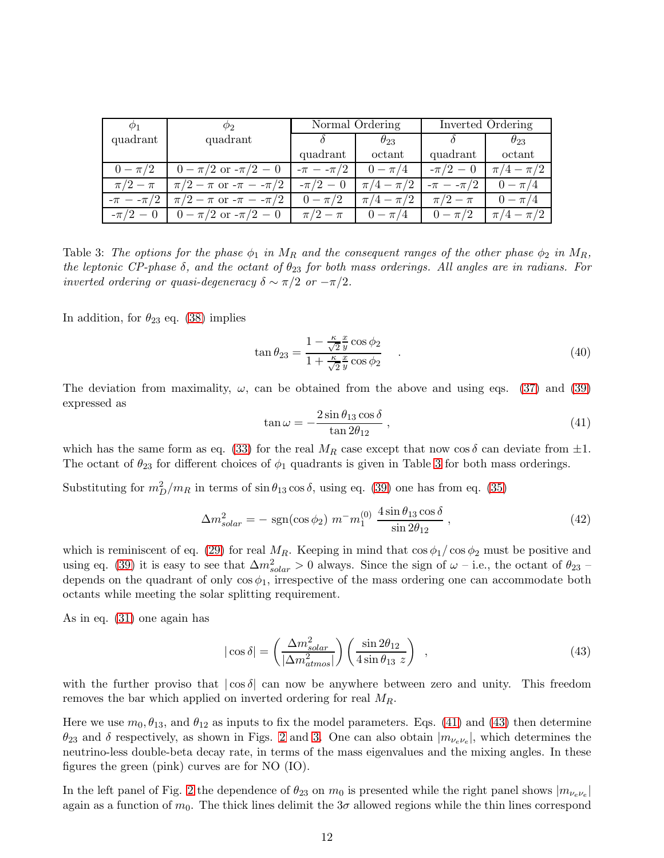| $\varphi_1$     | $\varphi_{2}$                                  | Normal Ordering |                 | Inverted Ordering |                 |  |
|-----------------|------------------------------------------------|-----------------|-----------------|-------------------|-----------------|--|
| quadrant        | quadrant                                       |                 | $\theta_{23}$   |                   | $\theta_{23}$   |  |
|                 |                                                | quadrant        | octant          | quadrant          | octant          |  |
| $0 - \pi/2$     | $0 - \pi/2$ or $-\pi/2 - 0$                    | $-\pi - -\pi/2$ | $0 - \pi/4$     | $-\pi/2 - 0$      | $\pi/4 - \pi/2$ |  |
| $\pi/2-\pi$     | $\pi/2 - \pi$ or $-\pi - -\pi/2$               | $-\pi/2 - 0$    | $\pi/4-\pi/2$   | $-\pi - -\pi/2$   | $0 - \pi/4$     |  |
| $-\pi - -\pi/2$ | $\pi/2 - \pi$ or $-\pi - -\pi/2$   $0 - \pi/2$ |                 | $\pi/4 - \pi/2$ | $\pi/2-\pi$       | $0 - \pi/4$     |  |
| $-\pi/2 - 0$    | $0 - \pi/2$ or $-\pi/2 - 0$                    | $\pi/2 - \pi$   | $0 - \pi/4$     | $0 - \pi/2$       | $\pi/4 - \pi/2$ |  |

<span id="page-11-0"></span>Table 3: The options for the phase  $\phi_1$  in  $M_R$  and the consequent ranges of the other phase  $\phi_2$  in  $M_R$ , *the leptonic CP-phase*  $\delta$ , and the octant of  $\theta_{23}$  for both mass orderings. All angles are in radians. For *inverted ordering or quasi-degeneracy*  $\delta \sim \pi/2$  *or*  $-\pi/2$ *.* 

In addition, for  $\theta_{23}$  eq. [\(38\)](#page-10-1) implies

<span id="page-11-4"></span>
$$
\tan \theta_{23} = \frac{1 - \frac{\kappa}{\sqrt{2}} \frac{x}{y} \cos \phi_2}{1 + \frac{\kappa}{\sqrt{2}} \frac{x}{y} \cos \phi_2} \tag{40}
$$

The deviation from maximality,  $\omega$ , can be obtained from the above and using eqs. [\(37\)](#page-10-3) and [\(39\)](#page-10-2) expressed as

<span id="page-11-1"></span>
$$
\tan \omega = -\frac{2\sin \theta_{13} \cos \delta}{\tan 2\theta_{12}}\,,\tag{41}
$$

which has the same form as eq. [\(33\)](#page-9-0) for the real  $M_R$  case except that now cos  $\delta$  can deviate from  $\pm 1$ . The octant of  $\theta_{23}$  for different choices of  $\phi_1$  quadrants is given in Table [3](#page-11-0) for both mass orderings.

Substituting for  $m_D^2/m_R$  in terms of  $\sin \theta_{13} \cos \delta$ , using eq. [\(39\)](#page-10-2) one has from eq. [\(35\)](#page-10-0)

<span id="page-11-3"></span>
$$
\Delta m_{solar}^2 = -\text{ sgn}(\cos \phi_2) \ m^- m_1^{(0)} \ \frac{4 \sin \theta_{13} \cos \delta}{\sin 2\theta_{12}}, \tag{42}
$$

which is reminiscent of eq. [\(29\)](#page-8-4) for real  $M_R$ . Keeping in mind that  $\cos \phi_1 / \cos \phi_2$  must be positive and using eq. [\(39\)](#page-10-2) it is easy to see that  $\Delta m_{solar}^2 > 0$  always. Since the sign of  $\omega$  – i.e., the octant of  $\theta_{23}$  – depends on the quadrant of only  $\cos \phi_1$ , irrespective of the mass ordering one can accommodate both octants while meeting the solar splitting requirement.

As in eq. [\(31\)](#page-8-6) one again has

<span id="page-11-2"></span>
$$
|\cos\delta| = \left(\frac{\Delta m_{solar}^2}{|\Delta m_{atmos}^2|}\right) \left(\frac{\sin 2\theta_{12}}{4\sin\theta_{13} z}\right) ,\qquad (43)
$$

with the further proviso that  $|\cos \delta|$  can now be anywhere between zero and unity. This freedom removes the bar which applied on inverted ordering for real  $M_R$ .

Here we use  $m_0, \theta_{13}$ , and  $\theta_{12}$  as inputs to fix the model parameters. Eqs. [\(41\)](#page-11-1) and [\(43\)](#page-11-2) then determine  $\theta_{23}$  and  $\delta$  respectively, as shown in Figs. [2](#page-12-0) and [3.](#page-13-0) One can also obtain  $|m_{\nu_e \nu_e}|$ , which determines the neutrino-less double-beta decay rate, in terms of the mass eigenvalues and the mixing angles. In these figures the green (pink) curves are for NO (IO).

In the left panel of Fig. [2](#page-12-0) the dependence of  $\theta_{23}$  on  $m_0$  is presented while the right panel shows  $|m_{\nu_e \nu_e}|$ again as a function of  $m_0$ . The thick lines delimit the  $3\sigma$  allowed regions while the thin lines correspond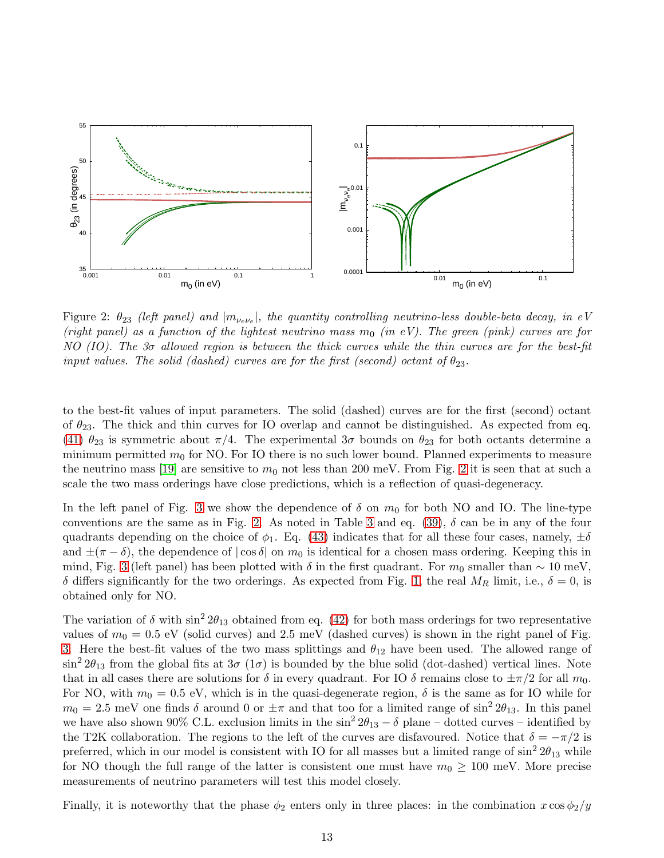

<span id="page-12-0"></span>Figure 2:  $\theta_{23}$  *(left panel) and*  $|m_{\nu_e \nu_e}|$ , the quantity controlling neutrino-less double-beta decay, in eV *(right panel) as a function of the lightest neutrino mass m<sub>0</sub> <i>(in eV). The green (pink) curves are for NO (IO). The 3*σ *allowed region is between the thick curves while the thin curves are for the best-fit input values. The solid (dashed) curves are for the first (second) octant of*  $\theta_{23}$ .

to the best-fit values of input parameters. The solid (dashed) curves are for the first (second) octant of  $\theta_{23}$ . The thick and thin curves for IO overlap and cannot be distinguished. As expected from eq. [\(41\)](#page-11-1)  $\theta_{23}$  is symmetric about  $\pi/4$ . The experimental  $3\sigma$  bounds on  $\theta_{23}$  for both octants determine a minimum permitted  $m_0$  for NO. For IO there is no such lower bound. Planned experiments to measure the neutrino mass [\[19\]](#page-22-3) are sensitive to  $m_0$  not less than [2](#page-12-0)00 meV. From Fig. 2 it is seen that at such a scale the two mass orderings have close predictions, which is a reflection of quasi-degeneracy.

In the left panel of Fig. [3](#page-13-0) we show the dependence of  $\delta$  on  $m_0$  for both NO and IO. The line-type conventions are the same as in Fig. [2.](#page-12-0) As noted in Table [3](#page-11-0) and eq.  $(39)$ ,  $\delta$  can be in any of the four quadrants depending on the choice of  $\phi_1$ . Eq. [\(43\)](#page-11-2) indicates that for all these four cases, namely,  $\pm \delta$ and  $\pm(\pi-\delta)$ , the dependence of  $|\cos\delta|$  on  $m_0$  is identical for a chosen mass ordering. Keeping this in mind, Fig. [3](#page-13-0) (left panel) has been plotted with  $\delta$  in the first quadrant. For  $m_0$  smaller than ~ 10 meV, δ differs significantly for the two orderings. As expected from Fig. [1,](#page-9-1) the real  $M_R$  limit, i.e., δ = 0, is obtained only for NO.

The variation of  $\delta$  with  $\sin^2 2\theta_{13}$  obtained from eq. [\(42\)](#page-11-3) for both mass orderings for two representative values of  $m_0 = 0.5$  eV (solid curves) and 2.5 meV (dashed curves) is shown in the right panel of Fig. [3.](#page-13-0) Here the best-fit values of the two mass splittings and  $\theta_{12}$  have been used. The allowed range of  $\sin^2 2\theta_{13}$  from the global fits at  $3\sigma$  (1 $\sigma$ ) is bounded by the blue solid (dot-dashed) vertical lines. Note that in all cases there are solutions for  $\delta$  in every quadrant. For IO  $\delta$  remains close to  $\pm \pi/2$  for all  $m_0$ . For NO, with  $m_0 = 0.5$  eV, which is in the quasi-degenerate region,  $\delta$  is the same as for IO while for  $m_0 = 2.5$  meV one finds  $\delta$  around 0 or  $\pm \pi$  and that too for a limited range of sin<sup>2</sup> 2 $\theta_{13}$ . In this panel we have also shown 90% C.L. exclusion limits in the  $\sin^2 2\theta_{13} - \delta$  plane – dotted curves – identified by the T2K collaboration. The regions to the left of the curves are disfavoured. Notice that  $\delta = -\pi/2$  is preferred, which in our model is consistent with IO for all masses but a limited range of  $\sin^2 2\theta_{13}$  while for NO though the full range of the latter is consistent one must have  $m_0 \geq 100$  meV. More precise measurements of neutrino parameters will test this model closely.

Finally, it is noteworthy that the phase  $\phi_2$  enters only in three places: in the combination  $x \cos \phi_2/y$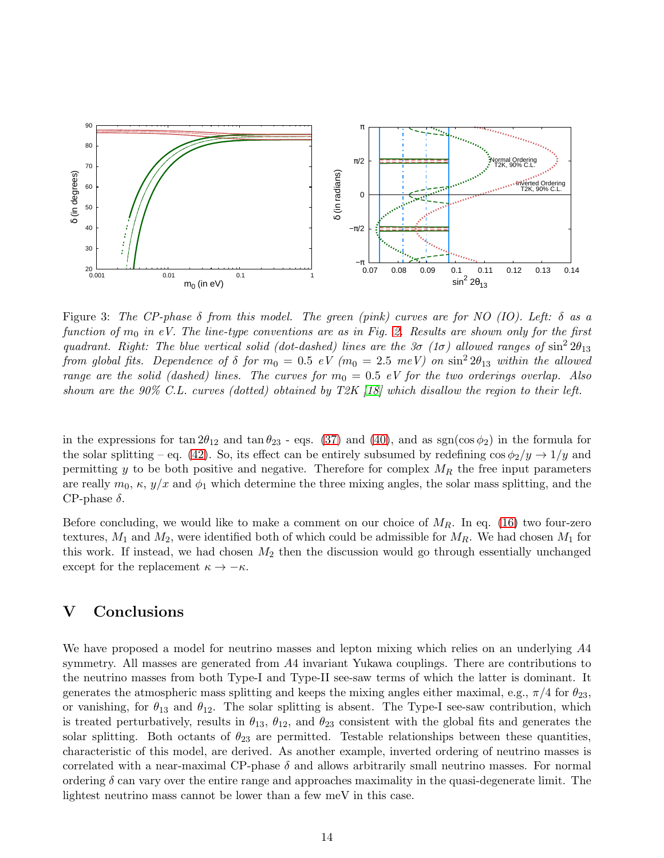

<span id="page-13-0"></span>Figure 3: *The CP-phase* δ *from this model. The green (pink) curves are for NO (IO). Left:* δ *as a function of* m<sup>0</sup> *in eV. The line-type conventions are as in Fig. [2.](#page-12-0) Results are shown only for the first quadrant. Right: The blue vertical solid (dot-dashed) lines are the*  $3\sigma$  *(1* $\sigma$ *) allowed ranges of*  $\sin^2 2\theta_{13}$ *from global fits.* Dependence of  $\delta$  for  $m_0 = 0.5$  eV  $(m_0 = 2.5 \ meV)$  on  $\sin^2 2\theta_{13}$  *within the allowed range are the solid (dashed) lines. The curves for*  $m_0 = 0.5$  *eV for the two orderings overlap. Also shown are the 90% C.L. curves (dotted) obtained by T2K [\[18\]](#page-22-2) which disallow the region to their left.*

in the expressions for tan  $2\theta_{12}$  and tan  $\theta_{23}$  - eqs. [\(37\)](#page-10-3) and [\(40\)](#page-11-4), and as sgn(cos  $\phi_2$ ) in the formula for the solar splitting – eq. [\(42\)](#page-11-3). So, its effect can be entirely subsumed by redefining  $\cos \phi_2/y \rightarrow 1/y$  and permitting y to be both positive and negative. Therefore for complex  $M_R$  the free input parameters are really  $m_0, \kappa, y/x$  and  $\phi_1$  which determine the three mixing angles, the solar mass splitting, and the CP-phase  $\delta$ .

Before concluding, we would like to make a comment on our choice of  $M_R$ . In eq. [\(16\)](#page-6-4) two four-zero textures,  $M_1$  and  $M_2$ , were identified both of which could be admissible for  $M_R$ . We had chosen  $M_1$  for this work. If instead, we had chosen  $M_2$  then the discussion would go through essentially unchanged except for the replacement  $\kappa \to -\kappa$ .

# V Conclusions

We have proposed a model for neutrino masses and lepton mixing which relies on an underlying  $A4$ symmetry. All masses are generated from A4 invariant Yukawa couplings. There are contributions to the neutrino masses from both Type-I and Type-II see-saw terms of which the latter is dominant. It generates the atmospheric mass splitting and keeps the mixing angles either maximal, e.g.,  $\pi/4$  for  $\theta_{23}$ , or vanishing, for  $\theta_{13}$  and  $\theta_{12}$ . The solar splitting is absent. The Type-I see-saw contribution, which is treated perturbatively, results in  $\theta_{13}$ ,  $\theta_{12}$ , and  $\theta_{23}$  consistent with the global fits and generates the solar splitting. Both octants of  $\theta_{23}$  are permitted. Testable relationships between these quantities, characteristic of this model, are derived. As another example, inverted ordering of neutrino masses is correlated with a near-maximal CP-phase  $\delta$  and allows arbitrarily small neutrino masses. For normal ordering  $\delta$  can vary over the entire range and approaches maximality in the quasi-degenerate limit. The lightest neutrino mass cannot be lower than a few meV in this case.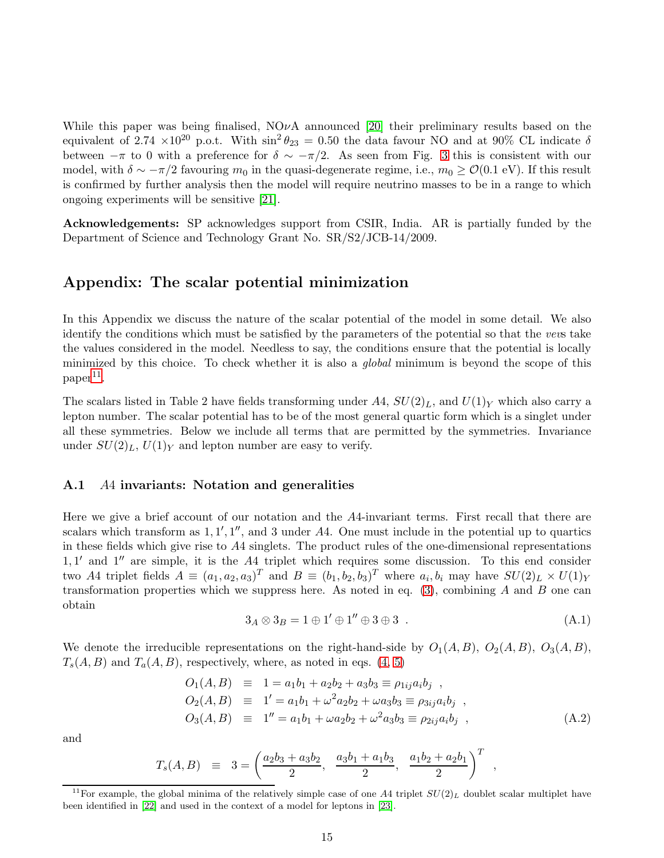While this paper was being finalised,  $NO\nu A$  announced [\[20\]](#page-22-4) their preliminary results based on the equivalent of 2.74  $\times 10^{20}$  p.o.t. With  $\sin^2 \theta_{23} = 0.50$  the data favour NO and at 90% CL indicate  $\delta$ between  $-\pi$  to 0 with a preference for  $\delta \sim -\pi/2$ . As seen from Fig. [3](#page-13-0) this is consistent with our model, with  $\delta \sim -\pi/2$  favouring  $m_0$  in the quasi-degenerate regime, i.e.,  $m_0 \geq \mathcal{O}(0.1 \text{ eV})$ . If this result is confirmed by further analysis then the model will require neutrino masses to be in a range to which ongoing experiments will be sensitive [\[21\]](#page-22-5).

Acknowledgements: SP acknowledges support from CSIR, India. AR is partially funded by the Department of Science and Technology Grant No. SR/S2/JCB-14/2009.

# Appendix: The scalar potential minimization

In this Appendix we discuss the nature of the scalar potential of the model in some detail. We also identify the conditions which must be satisfied by the parameters of the potential so that the *vev*s take the values considered in the model. Needless to say, the conditions ensure that the potential is locally minimized by this choice. To check whether it is also a *global* minimum is beyond the scope of this  $paper<sup>11</sup>$  $paper<sup>11</sup>$  $paper<sup>11</sup>$ .

The scalars listed in Table 2 have fields transforming under  $A4$ ,  $SU(2)<sub>L</sub>$ , and  $U(1)<sub>Y</sub>$  which also carry a lepton number. The scalar potential has to be of the most general quartic form which is a singlet under all these symmetries. Below we include all terms that are permitted by the symmetries. Invariance under  $SU(2)_L$ ,  $U(1)_Y$  and lepton number are easy to verify.

#### A.1 A4 invariants: Notation and generalities

Here we give a brief account of our notation and the A4-invariant terms. First recall that there are scalars which transform as  $1, 1', 1'',$  and 3 under A4. One must include in the potential up to quartics in these fields which give rise to A4 singlets. The product rules of the one-dimensional representations 1, 1 ′ and 1′′ are simple, it is the A4 triplet which requires some discussion. To this end consider two A4 triplet fields  $A \equiv (a_1, a_2, a_3)^T$  and  $B \equiv (b_1, b_2, b_3)^T$  where  $a_i, b_i$  may have  $SU(2)_L \times U(1)_Y$ transformation properties which we suppress here. As noted in eq.  $(3)$ , combining A and B one can obtain

<span id="page-14-0"></span>
$$
3_A \otimes 3_B = 1 \oplus 1' \oplus 1'' \oplus 3 \oplus 3 . \tag{A.1}
$$

We denote the irreducible representations on the right-hand-side by  $O_1(A, B)$ ,  $O_2(A, B)$ ,  $O_3(A, B)$ ,  $T_s(A, B)$  and  $T_a(A, B)$ , respectively, where, as noted in eqs.  $(4, 5)$  $(4, 5)$ 

$$
O_1(A, B) \equiv 1 = a_1b_1 + a_2b_2 + a_3b_3 \equiv \rho_{1ij}a_ib_j ,\n O_2(A, B) \equiv 1' = a_1b_1 + \omega^2 a_2b_2 + \omega a_3b_3 \equiv \rho_{3ij}a_ib_j ,\n O_3(A, B) \equiv 1'' = a_1b_1 + \omega a_2b_2 + \omega^2 a_3b_3 \equiv \rho_{2ij}a_ib_j , \qquad (A.2)
$$

and

$$
T_s(A, B) \equiv 3 = \left(\frac{a_2b_3 + a_3b_2}{2}, \frac{a_3b_1 + a_1b_3}{2}, \frac{a_1b_2 + a_2b_1}{2}\right)^T,
$$

<span id="page-14-1"></span><sup>&</sup>lt;sup>11</sup>For example, the global minima of the relatively simple case of one A4 triplet  $SU(2)_L$  doublet scalar multiplet have been identified in [\[22\]](#page-22-6) and used in the context of a model for leptons in [\[23\]](#page-22-7).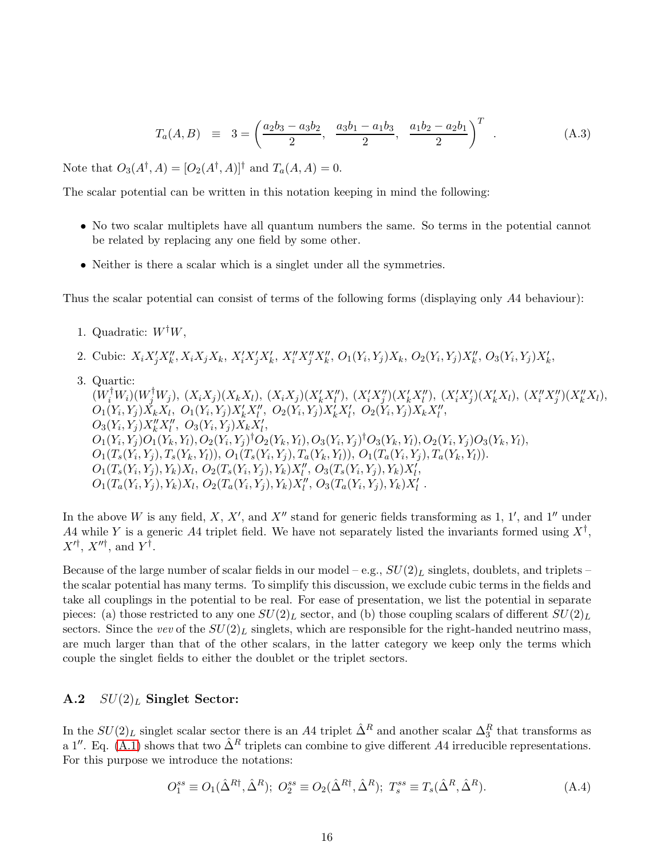$$
T_a(A, B) \equiv 3 = \left(\frac{a_2b_3 - a_3b_2}{2}, \frac{a_3b_1 - a_1b_3}{2}, \frac{a_1b_2 - a_2b_1}{2}\right)^T
$$
 (A.3)

Note that  $O_3(A^{\dagger}, A) = [O_2(A^{\dagger}, A)]^{\dagger}$  and  $T_a(A, A) = 0$ .

The scalar potential can be written in this notation keeping in mind the following:

- No two scalar multiplets have all quantum numbers the same. So terms in the potential cannot be related by replacing any one field by some other.
- Neither is there a scalar which is a singlet under all the symmetries.

Thus the scalar potential can consist of terms of the following forms (displaying only A4 behaviour):

- 1. Quadratic:  $W^{\dagger}W$ ,
- 2. Cubic:  $X_i X'_j X''_k, X_i X_j X_k, X'_i X'_j X'_k, X''_i X''_j X''_k, O_1(Y_i, Y_j) X_k, O_2(Y_i, Y_j) X''_k, O_3(Y_i, Y_j) X'_k$ ,
- 3. Quartic:

 $(W_i^{\dagger}W_i)(W_j^{\dagger}W_j), (X_iX_j)(X_kX_l), (X_iX_j)(X_k'X_l''), (X_i'X_j'')(X_k'X_l''), (X_i'X_j')(X_k'X_l), (X_i''X_j')(X_k''X_l),$  $O_1(Y_i, Y_j)X_kX_l, O_1(Y_i, Y_j)X_k'X_l'', O_2(Y_i, Y_j)X_k'X_l', O_2(Y_i, Y_j)X_kX_l'',$  $O_3(Y_i, Y_j)X_k''X_l'', O_3(Y_i, Y_j)X_kX_l',$  $\iota$ ,  $\cup$ 3( $\iota$ <sub>i</sub>,  $\iota$ <sub>j</sub>) $\Lambda$ <sub>k</sub> $\Lambda$ <sub>l</sub>  $O_1(Y_i,Y_j)O_1(Y_k,Y_l), O_2(Y_i,Y_j)^\dagger O_2(Y_k,Y_l), O_3(Y_i,Y_j)^\dagger O_3(Y_k,Y_l), O_2(Y_i,Y_j)O_3(Y_k,Y_l),$  $O_1(T_s(Y_i,Y_j),T_s(Y_k,Y_l)), O_1(T_s(Y_i,Y_j),T_a(Y_k,Y_l)), O_1(T_a(Y_i,Y_j),T_a(Y_k,Y_l)).$  $O_1(T_s(Y_i,Y_j),Y_k)X_l, O_2(T_s(Y_i,Y_j),Y_k)X_l'', O_3(T_s(Y_i,Y_j),Y_k)X_l',$  $O_1(T_a(Y_i,Y_j),Y_k)X_l, O_2(T_a(Y_i,Y_j),Y_k)X_l'', O_3(T_a(Y_i,Y_j),Y_k)X_l'.$ 

In the above W is any field, X, X', and X'' stand for generic fields transforming as 1, 1', and 1'' under A4 while Y is a generic A4 triplet field. We have not separately listed the invariants formed using  $X^{\dagger}$ ,  $X^{\prime \dagger}$ ,  $X^{\prime \prime \dagger}$ , and  $Y^{\dagger}$ .

Because of the large number of scalar fields in our model – e.g.,  $SU(2)_L$  singlets, doublets, and triplets – the scalar potential has many terms. To simplify this discussion, we exclude cubic terms in the fields and take all couplings in the potential to be real. For ease of presentation, we list the potential in separate pieces: (a) those restricted to any one  $SU(2)_L$  sector, and (b) those coupling scalars of different  $SU(2)_L$ sectors. Since the *vev* of the  $SU(2)_L$  singlets, which are responsible for the right-handed neutrino mass, are much larger than that of the other scalars, in the latter category we keep only the terms which couple the singlet fields to either the doublet or the triplet sectors.

## A.2  $SU(2)_L$  Singlet Sector:

In the  $SU(2)_L$  singlet scalar sector there is an A4 triplet  $\hat{\Delta}^R$  and another scalar  $\Delta_3^R$  that transforms as a 1''. Eq. [\(A.1\)](#page-14-0) shows that two  $\hat{\Delta}^R$  triplets can combine to give different A4 irreducible representations. For this purpose we introduce the notations:

$$
O_1^{ss} \equiv O_1(\hat{\Delta}^{R\dagger}, \hat{\Delta}^{R}); \ O_2^{ss} \equiv O_2(\hat{\Delta}^{R\dagger}, \hat{\Delta}^{R}); \ T_s^{ss} \equiv T_s(\hat{\Delta}^R, \hat{\Delta}^{R}). \tag{A.4}
$$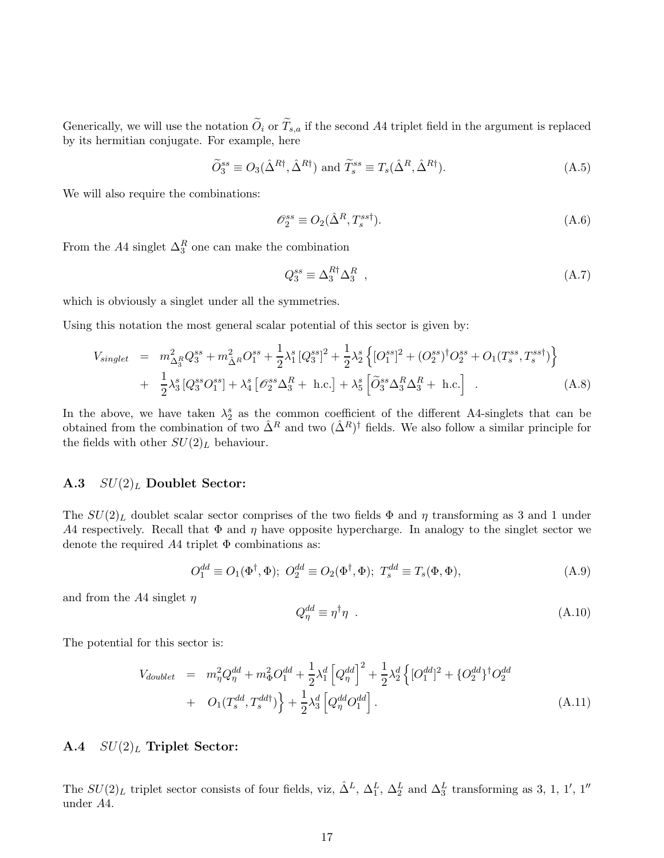Generically, we will use the notation  $\widetilde{O}_i$  or  $\widetilde{T}_{s,a}$  if the second A4 triplet field in the argument is replaced by its hermitian conjugate. For example, here

$$
\widetilde{O}_3^{ss} \equiv O_3(\hat{\Delta}^{R\dagger}, \hat{\Delta}^{R\dagger}) \text{ and } \widetilde{T}_s^{ss} \equiv T_s(\hat{\Delta}^R, \hat{\Delta}^{R\dagger}). \tag{A.5}
$$

We will also require the combinations:

$$
\mathcal{O}_2^{ss} \equiv O_2(\hat{\Delta}^R, T_s^{ss\dagger}).\tag{A.6}
$$

From the  $A4$  singlet  $\Delta_3^R$  one can make the combination

$$
Q_3^{ss} \equiv \Delta_3^{R\dagger} \Delta_3^R \t\t(A.7)
$$

which is obviously a singlet under all the symmetries.

Using this notation the most general scalar potential of this sector is given by:

<span id="page-16-0"></span>
$$
V_{singlet} = m_{\Delta_3^R}^2 Q_3^{ss} + m_{\hat{\Delta}^R}^2 O_1^{ss} + \frac{1}{2} \lambda_1^s \left[ Q_3^{ss} \right]^2 + \frac{1}{2} \lambda_2^s \left\{ \left[ O_1^{ss} \right]^2 + \left( O_2^{ss} \right)^\dagger O_2^{ss} + O_1(T_s^{ss}, T_s^{sst}) \right\} + \frac{1}{2} \lambda_3^s \left[ Q_3^{ss} O_1^{ss} \right] + \lambda_4^s \left[ \mathcal{O}_2^{ss} \Delta_3^R + \text{ h.c.} \right] + \lambda_5^s \left[ \tilde{O}_3^{ss} \Delta_3^R \Delta_3^R + \text{ h.c.} \right] .
$$
 (A.8)

In the above, we have taken  $\lambda_2^s$  as the common coefficient of the different A4-singlets that can be obtained from the combination of two  $\hat{\Delta}^R$  and two  $(\hat{\Delta}^R)^{\dagger}$  fields. We also follow a similar principle for the fields with other  $SU(2)_L$  behaviour.

#### A.3  $SU(2)<sub>L</sub>$  Doublet Sector:

The  $SU(2)_L$  doublet scalar sector comprises of the two fields  $\Phi$  and  $\eta$  transforming as 3 and 1 under A4 respectively. Recall that  $\Phi$  and  $\eta$  have opposite hypercharge. In analogy to the singlet sector we denote the required  $A4$  triplet  $\Phi$  combinations as:

$$
O_1^{dd} \equiv O_1(\Phi^\dagger, \Phi); O_2^{dd} \equiv O_2(\Phi^\dagger, \Phi); T_s^{dd} \equiv T_s(\Phi, \Phi), \tag{A.9}
$$

and from the A4 singlet  $\eta$ 

$$
Q_{\eta}^{dd} \equiv \eta^{\dagger} \eta \quad . \tag{A.10}
$$

The potential for this sector is:

<span id="page-16-1"></span>
$$
V_{doublet} = m_{\eta}^{2} Q_{\eta}^{dd} + m_{\Phi}^{2} O_{1}^{dd} + \frac{1}{2} \lambda_{1}^{d} \left[ Q_{\eta}^{dd} \right]^{2} + \frac{1}{2} \lambda_{2}^{d} \left\{ [O_{1}^{dd}]^{2} + \{ O_{2}^{dd} \}^{\dagger} O_{2}^{dd} \right. \\ + O_{1}(T_{s}^{dd}, T_{s}^{dd}) \left\} + \frac{1}{2} \lambda_{3}^{d} \left[ Q_{\eta}^{dd} O_{1}^{dd} \right]. \tag{A.11}
$$

## A.4  $SU(2)_L$  Triplet Sector:

The  $SU(2)_L$  triplet sector consists of four fields, viz,  $\hat{\Delta}^L$ ,  $\Delta_1^L$ ,  $\Delta_2^L$  and  $\Delta_3^L$  transforming as 3, 1, 1', 1'' under A4.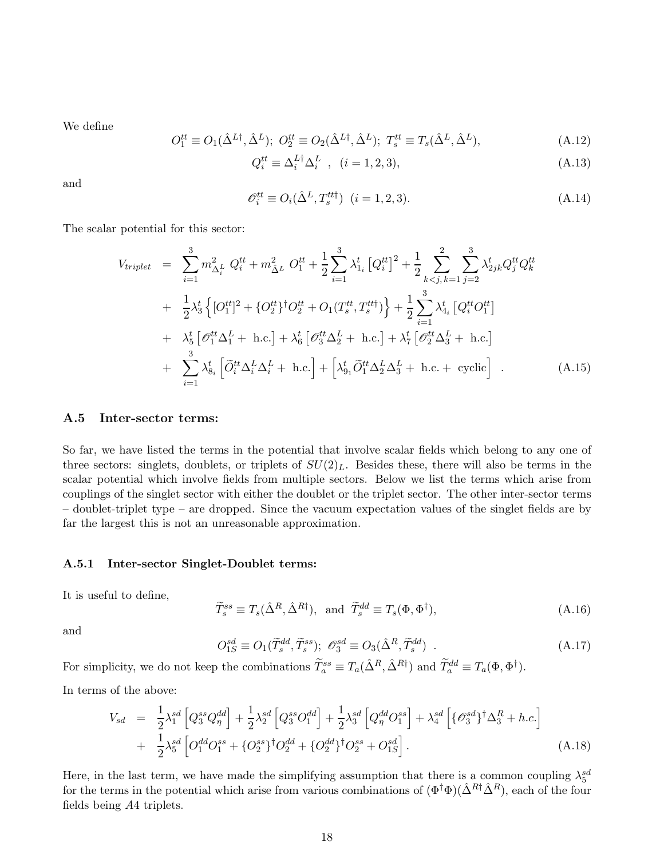We define

$$
O_1^{tt} \equiv O_1(\hat{\Delta}^{L\dagger}, \hat{\Delta}^{L}); O_2^{tt} \equiv O_2(\hat{\Delta}^{L\dagger}, \hat{\Delta}^{L}); T_s^{tt} \equiv T_s(\hat{\Delta}^{L}, \hat{\Delta}^{L}),
$$
\n(A.12)

$$
Q_i^{tt} \equiv \Delta_i^{L\dagger} \Delta_i^L \quad , \quad (i = 1, 2, 3), \tag{A.13}
$$

and

$$
\mathcal{O}_i^{tt} \equiv O_i(\hat{\Delta}^L, T_s^{tt\dagger}) \quad (i = 1, 2, 3). \tag{A.14}
$$

The scalar potential for this sector:

$$
V_{triplet} = \sum_{i=1}^{3} m_{\Delta_i^L}^2 Q_i^{tt} + m_{\tilde{\Delta}^L}^2 O_1^{tt} + \frac{1}{2} \sum_{i=1}^{3} \lambda_{1_i}^t [Q_i^{tt}]^2 + \frac{1}{2} \sum_{k < j, k=1}^{2} \sum_{j=2}^{3} \lambda_{2jk}^t Q_j^{tt} Q_k^{tt} + \frac{1}{2} \lambda_3^t \left\{ [O_1^{tt}]^2 + \{O_2^{tt}\}^\dagger O_2^{tt} + O_1(T_s^{tt}, T_s^{tt}) \right\} + \frac{1}{2} \sum_{i=1}^{3} \lambda_{4_i}^t [Q_i^{tt} O_1^{tt}] + \lambda_5^t [\mathscr{O}_1^{tt} \Delta_1^L + \text{ h.c.}] + \lambda_6^t [\mathscr{O}_3^{tt} \Delta_2^L + \text{ h.c.}] + \lambda_7^t [\mathscr{O}_2^{tt} \Delta_3^L + \text{ h.c.}] + \sum_{i=1}^{3} \lambda_{8_i}^t [\tilde{O}_i^{tt} \Delta_i^L \Delta_i^L + \text{ h.c.}] + \left[ \lambda_{91}^t \tilde{O}_1^{tt} \Delta_2^L \Delta_3^L + \text{ h.c.} + \text{ cyclic} \right] . \tag{A.15}
$$

#### A.5 Inter-sector terms:

So far, we have listed the terms in the potential that involve scalar fields which belong to any one of three sectors: singlets, doublets, or triplets of  $SU(2)_L$ . Besides these, there will also be terms in the scalar potential which involve fields from multiple sectors. Below we list the terms which arise from couplings of the singlet sector with either the doublet or the triplet sector. The other inter-sector terms – doublet-triplet type – are dropped. Since the vacuum expectation values of the singlet fields are by far the largest this is not an unreasonable approximation.

#### A.5.1 Inter-sector Singlet-Doublet terms:

It is useful to define,

$$
\widetilde{T}_s^{ss} \equiv T_s(\hat{\Delta}^R, \hat{\Delta}^{R\dagger}), \text{ and } \widetilde{T}_s^{dd} \equiv T_s(\Phi, \Phi^\dagger), \tag{A.16}
$$

and

$$
O_{1S}^{sd} \equiv O_1(\widetilde{T}_s^{dd}, \widetilde{T}_s^{ss}); \ \mathcal{O}_3^{sd} \equiv O_3(\hat{\Delta}^R, \widetilde{T}_s^{dd}) \ . \tag{A.17}
$$

For simplicity, we do not keep the combinations  $\widetilde{T}_a^{ss} \equiv T_a(\hat{\Delta}^R, \hat{\Delta}^{R\dagger})$  and  $\widetilde{T}_a^{dd} \equiv T_a(\Phi, \Phi^{\dagger})$ .

In terms of the above:

<span id="page-17-0"></span>
$$
V_{sd} = \frac{1}{2} \lambda_1^{sd} \left[ Q_3^{ss} Q_\eta^{dd} \right] + \frac{1}{2} \lambda_2^{sd} \left[ Q_3^{ss} O_1^{dd} \right] + \frac{1}{2} \lambda_3^{sd} \left[ Q_\eta^{dd} O_1^{ss} \right] + \lambda_4^{sd} \left[ \{ \mathcal{O}_3^{sd} \}^\dagger \Delta_3^R + h.c. \right] + \frac{1}{2} \lambda_5^{sd} \left[ O_1^{dd} O_1^{ss} + \{ O_2^{sd} \}^\dagger O_2^{dd} + \{ O_2^{dd} \}^\dagger O_2^{ss} + O_{1S}^{sd} \right].
$$
 (A.18)

Here, in the last term, we have made the simplifying assumption that there is a common coupling  $\lambda_5^{sd}$ for the terms in the potential which arise from various combinations of  $(\Phi^{\dagger} \Phi)(\hat{\Delta}^{R\dagger} \hat{\Delta}^{R})$ , each of the four fields being A4 triplets.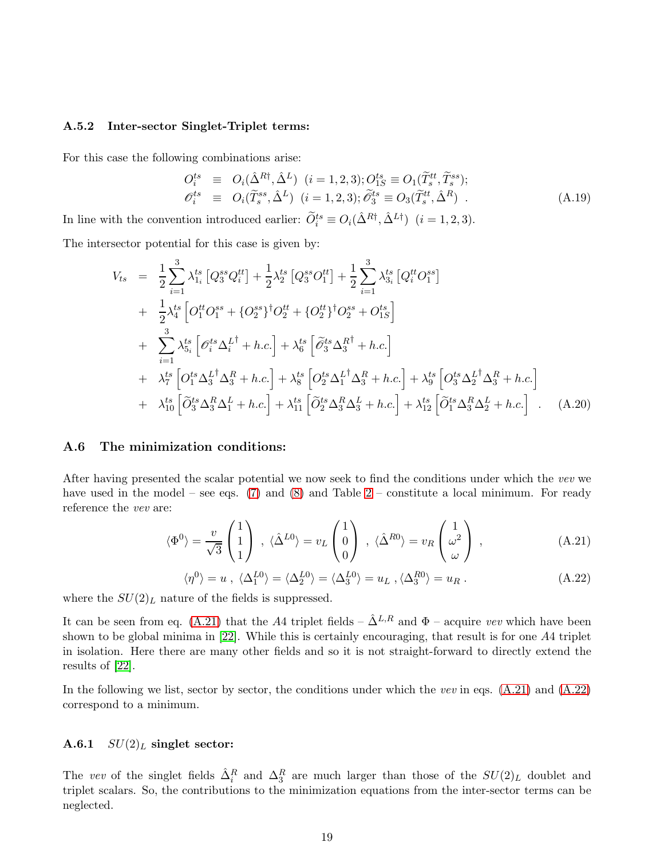#### A.5.2 Inter-sector Singlet-Triplet terms:

For this case the following combinations arise:

$$
O_i^{ts} \equiv O_i(\hat{\Delta}^{R\dagger}, \hat{\Delta}^L) \quad (i = 1, 2, 3); O_{1S}^{ts} \equiv O_1(\widetilde{T}_s^{tt}, \widetilde{T}_s^{ss});
$$
  
\n
$$
O_i^{ts} \equiv O_i(\widetilde{T}_s^{ss}, \hat{\Delta}^L) \quad (i = 1, 2, 3); \widetilde{O}_3^{ts} \equiv O_3(\widetilde{T}_s^{tt}, \hat{\Delta}^R) \quad .
$$
\n(A.19)

In line with the convention introduced earlier:  $\widetilde{O}_i^{ts} \equiv O_i(\hat{\Delta}^{R\dagger}, \hat{\Delta}^{L\dagger})$   $(i = 1, 2, 3)$ .

The intersector potential for this case is given by:

<span id="page-18-2"></span>
$$
V_{ts} = \frac{1}{2} \sum_{i=1}^{3} \lambda_{1i}^{ts} \left[ Q_{3}^{ss} Q_{i}^{tt} \right] + \frac{1}{2} \lambda_{2}^{ts} \left[ Q_{3}^{ss} O_{1}^{tt} \right] + \frac{1}{2} \sum_{i=1}^{3} \lambda_{3i}^{ts} \left[ Q_{i}^{tt} O_{1}^{ss} \right] + \frac{1}{2} \lambda_{4}^{ts} \left[ O_{1}^{tt} O_{1}^{ss} + \left\{ O_{2}^{ss} \right\}^{\dagger} O_{2}^{st} + \left\{ O_{2}^{tt} \right\}^{\dagger} O_{2}^{ss} + O_{1S}^{ts} \right] + \sum_{i=1}^{3} \lambda_{5i}^{ts} \left[ \mathcal{O}_{i}^{ts} \Delta_{i}^{L^{\dagger}} + h.c. \right] + \lambda_{6}^{ts} \left[ \mathcal{O}_{3}^{ts} \Delta_{3}^{R^{\dagger}} + h.c. \right] + \lambda_{7}^{ts} \left[ O_{1}^{ts} \Delta_{3}^{L^{\dagger}} \Delta_{3}^{R} + h.c. \right] + \lambda_{8}^{ts} \left[ O_{2}^{ts} \Delta_{1}^{L^{\dagger}} \Delta_{3}^{R} + h.c. \right] + \lambda_{9}^{ts} \left[ O_{3}^{ts} \Delta_{2}^{L^{\dagger}} \Delta_{3}^{R} + h.c. \right] + \lambda_{10}^{ts} \left[ \mathcal{O}_{3}^{ts} \Delta_{3}^{R} \Delta_{1}^{L} + h.c. \right] + \lambda_{11}^{ts} \left[ \mathcal{O}_{2}^{ts} \Delta_{3}^{R} \Delta_{3}^{L} + h.c. \right] + \lambda_{12}^{ts} \left[ \mathcal{O}_{1}^{ts} \Delta_{3}^{R} \Delta_{2}^{L} + h.c. \right] . \quad (A.20)
$$

## A.6 The minimization conditions:

After having presented the scalar potential we now seek to find the conditions under which the *vev* we have used in the model – see eqs.  $(7)$  and  $(8)$  and Table [2](#page-3-2) – constitute a local minimum. For ready reference the *vev* are:

<span id="page-18-0"></span>
$$
\langle \Phi^0 \rangle = \frac{v}{\sqrt{3}} \begin{pmatrix} 1 \\ 1 \\ 1 \end{pmatrix} , \ \langle \hat{\Delta}^{L0} \rangle = v_L \begin{pmatrix} 1 \\ 0 \\ 0 \end{pmatrix} , \ \langle \hat{\Delta}^{R0} \rangle = v_R \begin{pmatrix} 1 \\ \omega^2 \\ \omega \end{pmatrix} , \tag{A.21}
$$

<span id="page-18-1"></span>
$$
\langle \eta^0 \rangle = u \ , \ \langle \Delta_1^{L0} \rangle = \langle \Delta_2^{L0} \rangle = \langle \Delta_3^{L0} \rangle = u_L \ , \langle \Delta_3^{R0} \rangle = u_R \ . \tag{A.22}
$$

where the  $SU(2)_L$  nature of the fields is suppressed.

It can be seen from eq. [\(A.21\)](#page-18-0) that the A4 triplet fields –  $\hat{\Delta}^{L,R}$  and  $\Phi$  – acquire *vev* which have been shown to be global minima in [\[22\]](#page-22-6). While this is certainly encouraging, that result is for one A4 triplet in isolation. Here there are many other fields and so it is not straight-forward to directly extend the results of [\[22\]](#page-22-6).

In the following we list, sector by sector, the conditions under which the *vev* in eqs. [\(A.21\)](#page-18-0) and [\(A.22\)](#page-18-1) correspond to a minimum.

## A.6.1  $SU(2)<sub>L</sub>$  singlet sector:

The *vev* of the singlet fields  $\hat{\Delta}_i^R$  and  $\Delta_3^R$  are much larger than those of the  $SU(2)_L$  doublet and triplet scalars. So, the contributions to the minimization equations from the inter-sector terms can be neglected.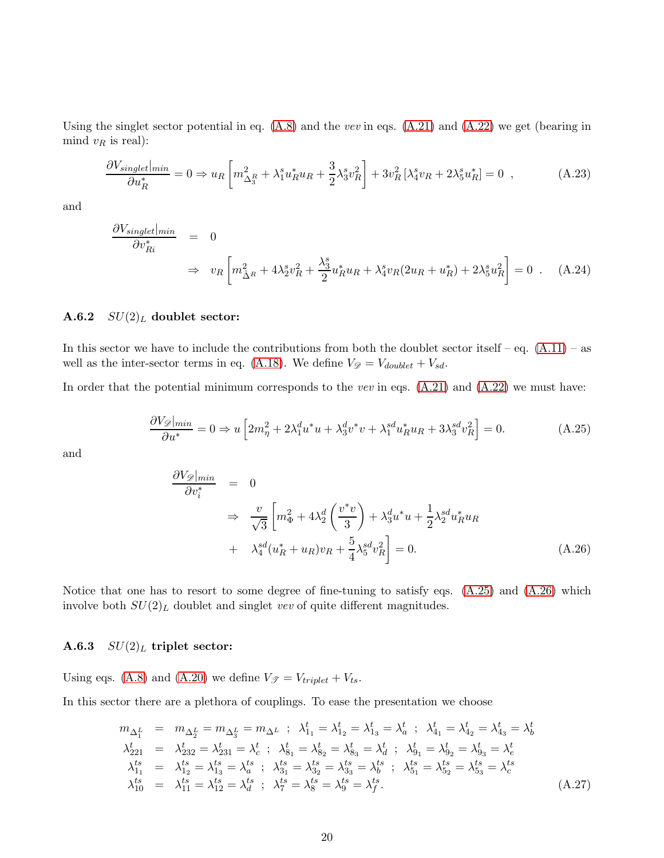Using the singlet sector potential in eq. [\(A.8\)](#page-16-0) and the *vev* in eqs. [\(A.21\)](#page-18-0) and [\(A.22\)](#page-18-1) we get (bearing in mind  $v_R$  is real):

$$
\frac{\partial V_{singlet}|_{min}}{\partial u_R^*} = 0 \Rightarrow u_R \left[ m_{\Delta_3^R}^2 + \lambda_1^s u_R^* u_R + \frac{3}{2} \lambda_3^s v_R^2 \right] + 3v_R^2 \left[ \lambda_4^s v_R + 2\lambda_5^s u_R^* \right] = 0 \quad , \tag{A.23}
$$

and

$$
\frac{\partial V_{singlet}|_{min}}{\partial v_{Ri}^*} = 0
$$
\n
$$
\Rightarrow v_R \left[ m_{\hat{\Delta}^R}^2 + 4\lambda_2^s v_R^2 + \frac{\lambda_3^s}{2} u_R^* u_R + \lambda_4^s v_R (2u_R + u_R^*) + 2\lambda_5^s u_R^2 \right] = 0 \quad . \quad (A.24)
$$

### A.6.2  $SU(2)_L$  doublet sector:

In this sector we have to include the contributions from both the doublet sector itself – eq.  $(A.11)$  – as well as the inter-sector terms in eq. [\(A.18\)](#page-17-0). We define  $V_{\mathscr{D}} = V_{doublet} + V_{sd}$ .

In order that the potential minimum corresponds to the *vev* in eqs. [\(A.21\)](#page-18-0) and [\(A.22\)](#page-18-1) we must have:

<span id="page-19-0"></span>
$$
\frac{\partial V_{\mathscr{D}}|_{min}}{\partial u^*} = 0 \Rightarrow u \left[ 2m_{\eta}^2 + 2\lambda_1^d u^* u + \lambda_3^d v^* v + \lambda_1^{sd} u_R^* u_R + 3\lambda_3^{sd} v_R^2 \right] = 0. \tag{A.25}
$$

and

<span id="page-19-1"></span>
$$
\frac{\partial V_{\mathscr{D}}|_{min}}{\partial v_i^*} = 0
$$
\n
$$
\Rightarrow \frac{v}{\sqrt{3}} \left[ m_{\Phi}^2 + 4\lambda_2^d \left( \frac{v^* v}{3} \right) + \lambda_3^d u^* u + \frac{1}{2} \lambda_2^{sd} u_R^* u_R \right.
$$
\n
$$
+ \lambda_4^{sd} (u_R^* + u_R) v_R + \frac{5}{4} \lambda_5^{sd} v_R^2 \right] = 0.
$$
\n(A.26)

Notice that one has to resort to some degree of fine-tuning to satisfy eqs. [\(A.25\)](#page-19-0) and [\(A.26\)](#page-19-1) which involve both  $SU(2)_L$  doublet and singlet *vev* of quite different magnitudes.

## A.6.3  $SU(2)_L$  triplet sector:

Using eqs. [\(A.8\)](#page-16-0) and [\(A.20\)](#page-18-2) we define  $V_{\mathcal{F}} = V_{triplet} + V_{ts}$ .

In this sector there are a plethora of couplings. To ease the presentation we choose

$$
m_{\Delta_1^L} = m_{\Delta_2^L} = m_{\Delta_3^L} = m_{\Delta^L} \ ; \ \lambda_{11}^t = \lambda_{12}^t = \lambda_{13}^t = \lambda_a^t \ ; \ \lambda_{41}^t = \lambda_{42}^t = \lambda_{43}^t = \lambda_b^t
$$
  
\n
$$
\lambda_{221}^t = \lambda_{232}^t = \lambda_{231}^t = \lambda_c^t \ ; \ \lambda_{81}^t = \lambda_{82}^t = \lambda_{83}^t = \lambda_d^t \ ; \ \lambda_{91}^t = \lambda_{92}^t = \lambda_{93}^t = \lambda_e^t
$$
  
\n
$$
\lambda_{11}^{ts} = \lambda_{12}^{ts} = \lambda_{13}^{ts} = \lambda_a^{ts} \ ; \ \lambda_{31}^{ts} = \lambda_{32}^{ts} = \lambda_{33}^{ts} = \lambda_b^{ts} \ ; \ \lambda_{51}^{ts} = \lambda_{52}^{ts} = \lambda_{53}^{ts} = \lambda_c^{ts}
$$
  
\n
$$
\lambda_{10}^{ts} = \lambda_{11}^{ts} = \lambda_{12}^{ts} = \lambda_d^{ts} \ ; \ \lambda_7^{ts} = \lambda_8^{ts} = \lambda_9^{ts} = \lambda_f^{ts}.
$$
  
\n(A.27)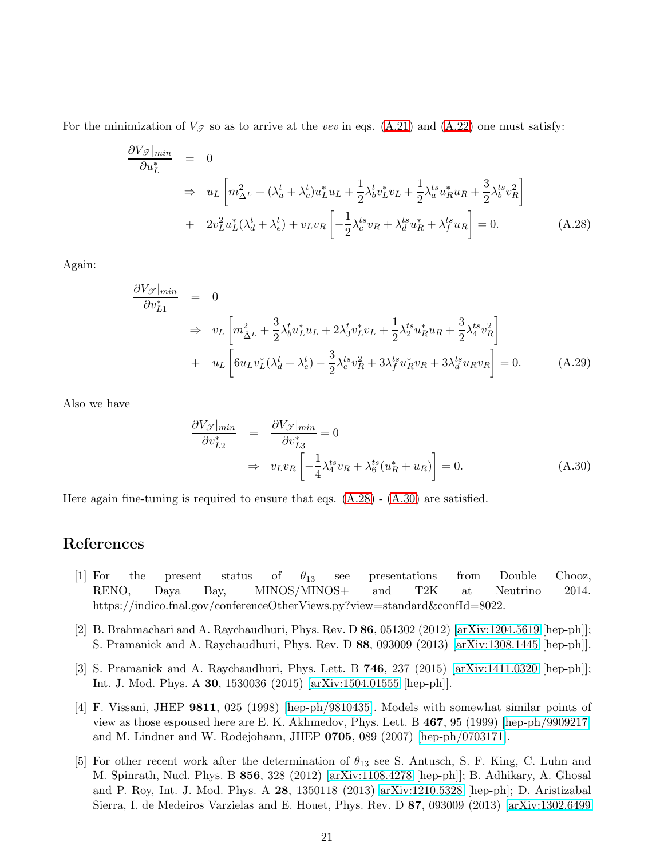For the minimization of  $V_{\mathscr{T}}$  so as to arrive at the *vev* in eqs. [\(A.21\)](#page-18-0) and [\(A.22\)](#page-18-1) one must satisfy:

<span id="page-20-5"></span>
$$
\frac{\partial V_{\mathcal{I}}|_{min}}{\partial u_L^*} = 0
$$
\n
$$
\Rightarrow u_L \left[ m_{\Delta^L}^2 + (\lambda_a^t + \lambda_c^t) u_L^* u_L + \frac{1}{2} \lambda_b^t v_L^* v_L + \frac{1}{2} \lambda_a^t u_R^* u_R + \frac{3}{2} \lambda_b^t v_R^2 \right]
$$
\n
$$
+ 2v_L^2 u_L^* (\lambda_d^t + \lambda_e^t) + v_L v_R \left[ -\frac{1}{2} \lambda_c^t v_R + \lambda_d^t u_R^* + \lambda_f^t u_R \right] = 0. \tag{A.28}
$$

Again:

$$
\frac{\partial V_{\mathscr{F}}|_{min}}{\partial v_{L1}^{*}} = 0
$$
\n
$$
\Rightarrow v_{L} \left[ m_{\Delta L}^{2} + \frac{3}{2} \lambda_{b}^{t} u_{L}^{*} u_{L} + 2 \lambda_{3}^{t} v_{L}^{*} v_{L} + \frac{1}{2} \lambda_{2}^{t s} u_{R}^{*} u_{R} + \frac{3}{2} \lambda_{4}^{t s} v_{R}^{2} \right]
$$
\n
$$
+ u_{L} \left[ 6 u_{L} v_{L}^{*} (\lambda_{d}^{t} + \lambda_{e}^{t}) - \frac{3}{2} \lambda_{e}^{t s} v_{R}^{2} + 3 \lambda_{f}^{t s} u_{R}^{*} v_{R} + 3 \lambda_{d}^{t s} u_{R} v_{R} \right] = 0.
$$
\n(A.29)

Also we have

<span id="page-20-6"></span>
$$
\frac{\partial V_{\mathcal{F}}|_{min}}{\partial v_{L2}^*} = \frac{\partial V_{\mathcal{F}}|_{min}}{\partial v_{L3}^*} = 0
$$
\n
$$
\Rightarrow v_L v_R \left[ -\frac{1}{4} \lambda_4^{ts} v_R + \lambda_6^{ts} (u_R^* + u_R) \right] = 0. \tag{A.30}
$$

Here again fine-tuning is required to ensure that eqs.  $(A.28)$  -  $(A.30)$  are satisfied.

# <span id="page-20-0"></span>References

- [1] For the present status of  $\theta_{13}$  see presentations from Double Chooz, RENO, Daya Bay, MINOS/MINOS+ and T2K at Neutrino 2014. https://indico.fnal.gov/conferenceOtherViews.py?view=standard&confId=8022.
- <span id="page-20-1"></span>[2] B. Brahmachari and A. Raychaudhuri, Phys. Rev. D 86, 051302 (2012) [\[arXiv:1204.5619](http://arxiv.org/abs/1204.5619) [hep-ph]]; S. Pramanick and A. Raychaudhuri, Phys. Rev. D 88, 093009 (2013) [\[arXiv:1308.1445](http://arxiv.org/abs/1308.1445) [hep-ph]].
- <span id="page-20-2"></span>[3] S. Pramanick and A. Raychaudhuri, Phys. Lett. B 746, 237 (2015) [\[arXiv:1411.0320](http://arxiv.org/abs/1411.0320) [hep-ph]]; Int. J. Mod. Phys. A 30, 1530036 (2015) [\[arXiv:1504.01555](http://arxiv.org/abs/1504.01555) [hep-ph]].
- <span id="page-20-4"></span>[4] F. Vissani, JHEP 9811, 025 (1998) [\[hep-ph/9810435\]](http://arxiv.org/abs/hep-ph/9810435). Models with somewhat similar points of view as those espoused here are E. K. Akhmedov, Phys. Lett. B 467, 95 (1999) [\[hep-ph/9909217\]](http://arxiv.org/abs/hep-ph/9909217) and M. Lindner and W. Rodejohann, JHEP 0705, 089 (2007) [\[hep-ph/0703171\]](http://arxiv.org/abs/hep-ph/0703171).
- <span id="page-20-3"></span>[5] For other recent work after the determination of  $\theta_{13}$  see S. Antusch, S. F. King, C. Luhn and M. Spinrath, Nucl. Phys. B 856, 328 (2012) [\[arXiv:1108.4278](http://arxiv.org/abs/1108.4278) [hep-ph]]; B. Adhikary, A. Ghosal and P. Roy, Int. J. Mod. Phys. A 28, 1350118 (2013) [arXiv:1210.5328](http://arxiv.org/abs/1210.5328) [hep-ph]; D. Aristizabal Sierra, I. de Medeiros Varzielas and E. Houet, Phys. Rev. D 87, 093009 (2013) [\[arXiv:1302.6499](http://arxiv.org/abs/1302.6499)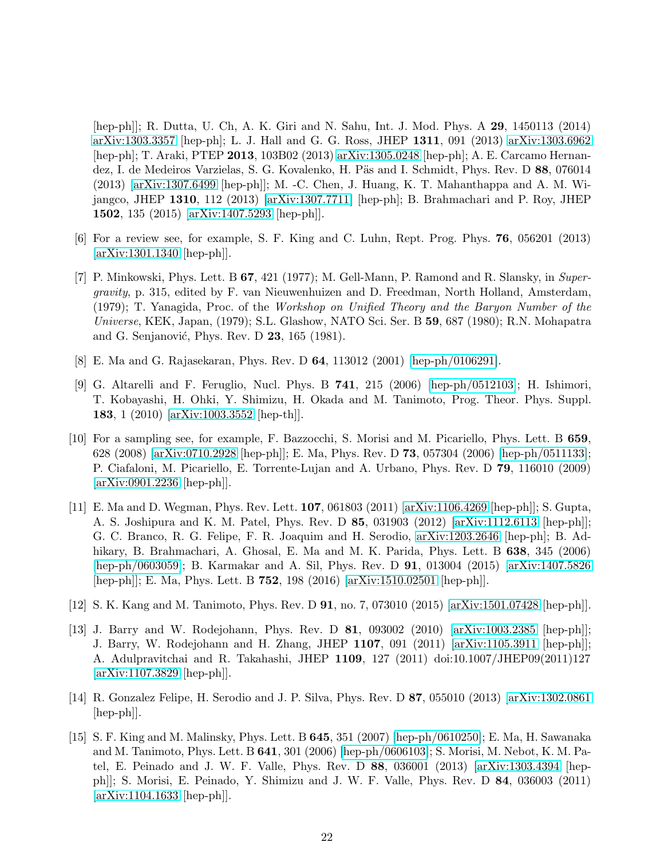[hep-ph]]; R. Dutta, U. Ch, A. K. Giri and N. Sahu, Int. J. Mod. Phys. A 29, 1450113 (2014) [arXiv:1303.3357](http://arxiv.org/abs/1303.3357) [hep-ph]; L. J. Hall and G. G. Ross, JHEP 1311, 091 (2013) [arXiv:1303.6962](http://arxiv.org/abs/1303.6962) [hep-ph]; T. Araki, PTEP 2013, 103B02 (2013) [arXiv:1305.0248](http://arxiv.org/abs/1305.0248) [hep-ph]; A. E. Carcamo Hernandez, I. de Medeiros Varzielas, S. G. Kovalenko, H. Päs and I. Schmidt, Phys. Rev. D 88, 076014 (2013) [\[arXiv:1307.6499](http://arxiv.org/abs/1307.6499) [hep-ph]]; M. -C. Chen, J. Huang, K. T. Mahanthappa and A. M. Wijangco, JHEP 1310, 112 (2013) [\[arXiv:1307.7711\]](http://arxiv.org/abs/1307.7711) [hep-ph]; B. Brahmachari and P. Roy, JHEP 1502, 135 (2015) [\[arXiv:1407.5293](http://arxiv.org/abs/1407.5293) [hep-ph]].

- <span id="page-21-1"></span><span id="page-21-0"></span>[6] For a review see, for example, S. F. King and C. Luhn, Rept. Prog. Phys. 76, 056201 (2013) [\[arXiv:1301.1340](http://arxiv.org/abs/1301.1340) [hep-ph]].
- [7] P. Minkowski, Phys. Lett. B 67, 421 (1977); M. Gell-Mann, P. Ramond and R. Slansky, in *Supergravity*, p. 315, edited by F. van Nieuwenhuizen and D. Freedman, North Holland, Amsterdam, (1979); T. Yanagida, Proc. of the *Workshop on Unified Theory and the Baryon Number of the Universe*, KEK, Japan, (1979); S.L. Glashow, NATO Sci. Ser. B 59, 687 (1980); R.N. Mohapatra and G. Senjanović, Phys. Rev. D  $23$ , 165 (1981).
- <span id="page-21-3"></span><span id="page-21-2"></span>[8] E. Ma and G. Rajasekaran, Phys. Rev. D 64, 113012 (2001) [\[hep-ph/0106291\]](http://arxiv.org/abs/hep-ph/0106291).
- [9] G. Altarelli and F. Feruglio, Nucl. Phys. B 741, 215 (2006) [\[hep-ph/0512103\]](http://arxiv.org/abs/hep-ph/0512103); H. Ishimori, T. Kobayashi, H. Ohki, Y. Shimizu, H. Okada and M. Tanimoto, Prog. Theor. Phys. Suppl. 183, 1 (2010) [\[arXiv:1003.3552](http://arxiv.org/abs/1003.3552) [hep-th]].
- <span id="page-21-4"></span>[10] For a sampling see, for example, F. Bazzocchi, S. Morisi and M. Picariello, Phys. Lett. B 659, 628 (2008) [\[arXiv:0710.2928](http://arxiv.org/abs/0710.2928) [hep-ph]]; E. Ma, Phys. Rev. D 73, 057304 (2006) [\[hep-ph/0511133\]](http://arxiv.org/abs/hep-ph/0511133); P. Ciafaloni, M. Picariello, E. Torrente-Lujan and A. Urbano, Phys. Rev. D 79, 116010 (2009) [\[arXiv:0901.2236](http://arxiv.org/abs/0901.2236) [hep-ph]].
- <span id="page-21-5"></span>[11] E. Ma and D. Wegman, Phys. Rev. Lett. 107, 061803 (2011) [\[arXiv:1106.4269](http://arxiv.org/abs/1106.4269) [hep-ph]]; S. Gupta, A. S. Joshipura and K. M. Patel, Phys. Rev. D 85, 031903 (2012) [\[arXiv:1112.6113](http://arxiv.org/abs/1112.6113) [hep-ph]]; G. C. Branco, R. G. Felipe, F. R. Joaquim and H. Serodio, [arXiv:1203.2646](http://arxiv.org/abs/1203.2646) [hep-ph]; B. Adhikary, B. Brahmachari, A. Ghosal, E. Ma and M. K. Parida, Phys. Lett. B 638, 345 (2006) [\[hep-ph/0603059\]](http://arxiv.org/abs/hep-ph/0603059); B. Karmakar and A. Sil, Phys. Rev. D 91, 013004 (2015) [\[arXiv:1407.5826](http://arxiv.org/abs/1407.5826) [hep-ph]]; E. Ma, Phys. Lett. B 752, 198 (2016) [\[arXiv:1510.02501](http://arxiv.org/abs/1510.02501) [hep-ph]].
- <span id="page-21-7"></span><span id="page-21-6"></span>[12] S. K. Kang and M. Tanimoto, Phys. Rev. D 91, no. 7, 073010 (2015) [\[arXiv:1501.07428](http://arxiv.org/abs/1501.07428) [hep-ph]].
- [13] J. Barry and W. Rodejohann, Phys. Rev. D 81, 093002 (2010) [\[arXiv:1003.2385](http://arxiv.org/abs/1003.2385) [hep-ph]]; J. Barry, W. Rodejohann and H. Zhang, JHEP 1107, 091 (2011) [\[arXiv:1105.3911](http://arxiv.org/abs/1105.3911) [hep-ph]]; A. Adulpravitchai and R. Takahashi, JHEP 1109, 127 (2011) doi:10.1007/JHEP09(2011)127 [\[arXiv:1107.3829](http://arxiv.org/abs/1107.3829) [hep-ph]].
- <span id="page-21-8"></span>[14] R. Gonzalez Felipe, H. Serodio and J. P. Silva, Phys. Rev. D 87, 055010 (2013) [\[arXiv:1302.0861](http://arxiv.org/abs/1302.0861) [hep-ph]].
- <span id="page-21-9"></span>[15] S. F. King and M. Malinsky, Phys. Lett. B 645, 351 (2007) [\[hep-ph/0610250\]](http://arxiv.org/abs/hep-ph/0610250); E. Ma, H. Sawanaka and M. Tanimoto, Phys. Lett. B 641, 301 (2006) [\[hep-ph/0606103\]](http://arxiv.org/abs/hep-ph/0606103); S. Morisi, M. Nebot, K. M. Patel, E. Peinado and J. W. F. Valle, Phys. Rev. D 88, 036001 (2013) [\[arXiv:1303.4394](http://arxiv.org/abs/1303.4394) [hepph]]; S. Morisi, E. Peinado, Y. Shimizu and J. W. F. Valle, Phys. Rev. D 84, 036003 (2011) [\[arXiv:1104.1633](http://arxiv.org/abs/1104.1633) [hep-ph]].